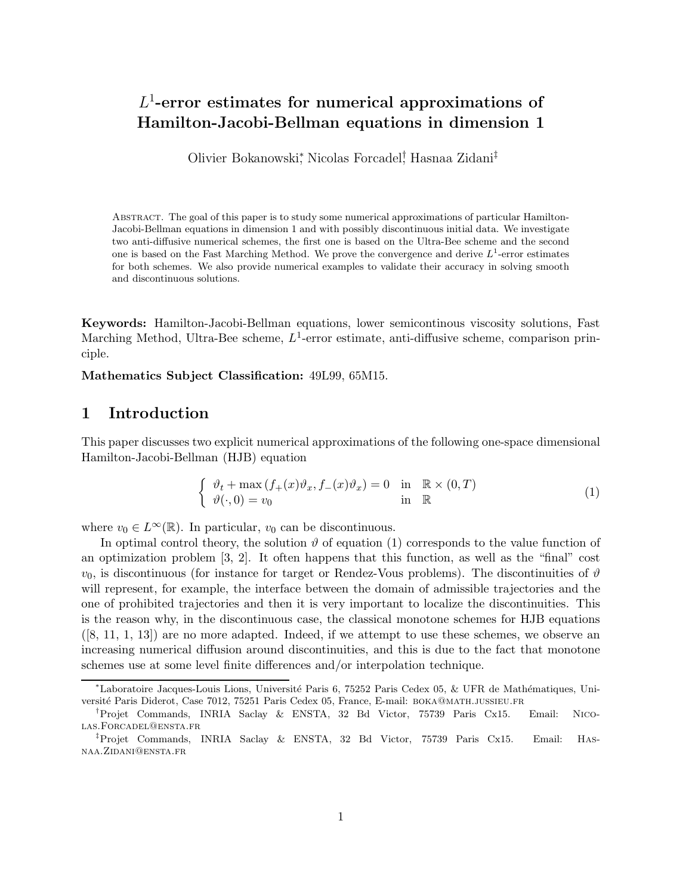# $L^1$ -error estimates for numerical approximations of Hamilton-Jacobi-Bellman equations in dimension 1

Olivier Bokanowski<sup>∗</sup> , Nicolas Forcadel† , Hasnaa Zidani‡

Abstract. The goal of this paper is to study some numerical approximations of particular Hamilton-Jacobi-Bellman equations in dimension 1 and with possibly discontinuous initial data. We investigate two anti-diffusive numerical schemes, the first one is based on the Ultra-Bee scheme and the second one is based on the Fast Marching Method. We prove the convergence and derive  $L^1$ -error estimates for both schemes. We also provide numerical examples to validate their accuracy in solving smooth and discontinuous solutions.

Keywords: Hamilton-Jacobi-Bellman equations, lower semicontinous viscosity solutions, Fast Marching Method, Ultra-Bee scheme,  $L^1$ -error estimate, anti-diffusive scheme, comparison principle.

Mathematics Subject Classification: 49L99, 65M15.

# 1 Introduction

This paper discusses two explicit numerical approximations of the following one-space dimensional Hamilton-Jacobi-Bellman (HJB) equation

$$
\begin{cases}\n\vartheta_t + \max(f_+(x)\vartheta_x, f_-(x)\vartheta_x) = 0 & \text{in } \mathbb{R} \times (0,T) \\
\vartheta(\cdot, 0) = v_0 & \text{in } \mathbb{R}\n\end{cases}
$$
\n(1)

where  $v_0 \in L^{\infty}(\mathbb{R})$ . In particular,  $v_0$  can be discontinuous.

In optimal control theory, the solution  $\vartheta$  of equation (1) corresponds to the value function of an optimization problem [3, 2]. It often happens that this function, as well as the "final" cost  $v_0$ , is discontinuous (for instance for target or Rendez-Vous problems). The discontinuities of  $\vartheta$ will represent, for example, the interface between the domain of admissible trajectories and the one of prohibited trajectories and then it is very important to localize the discontinuities. This is the reason why, in the discontinuous case, the classical monotone schemes for HJB equations  $([8, 11, 1, 13])$  are no more adapted. Indeed, if we attempt to use these schemes, we observe an increasing numerical diffusion around discontinuities, and this is due to the fact that monotone schemes use at some level finite differences and/or interpolation technique.

<sup>∗</sup>Laboratoire Jacques-Louis Lions, Universit´e Paris 6, 75252 Paris Cedex 05, & UFR de Math´ematiques, Universit´e Paris Diderot, Case 7012, 75251 Paris Cedex 05, France, E-mail: boka@math.jussieu.fr

<sup>†</sup>Projet Commands, INRIA Saclay & ENSTA, 32 Bd Victor, 75739 Paris Cx15. Email: Nicolas.Forcadel@ensta.fr

<sup>‡</sup>Projet Commands, INRIA Saclay & ENSTA, 32 Bd Victor, 75739 Paris Cx15. Email: Hasnaa.Zidani@ensta.fr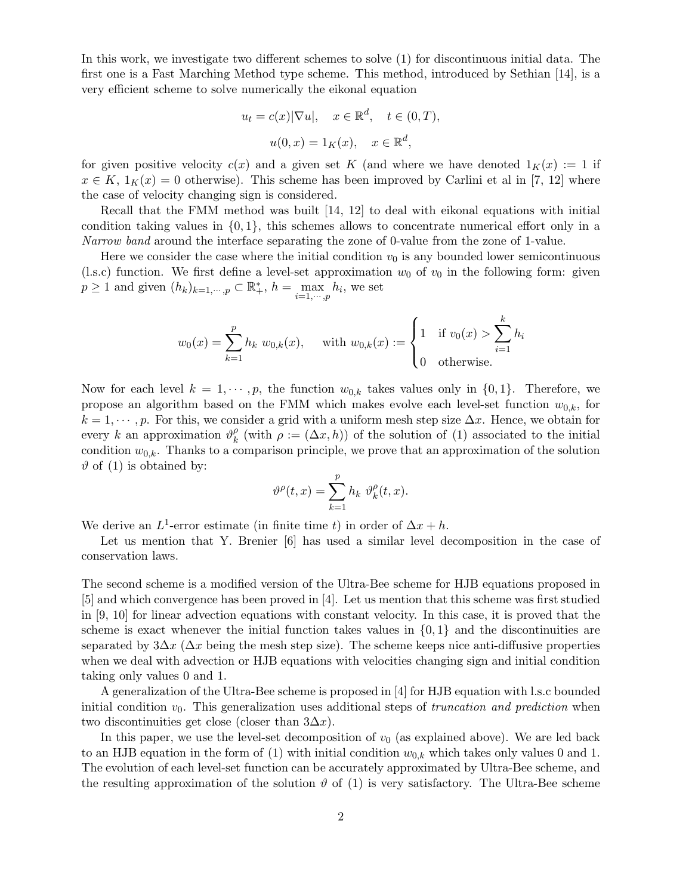In this work, we investigate two different schemes to solve (1) for discontinuous initial data. The first one is a Fast Marching Method type scheme. This method, introduced by Sethian [14], is a very efficient scheme to solve numerically the eikonal equation

$$
u_t = c(x)|\nabla u|, \quad x \in \mathbb{R}^d, \quad t \in (0, T),
$$

$$
u(0, x) = 1_K(x), \quad x \in \mathbb{R}^d,
$$

for given positive velocity  $c(x)$  and a given set K (and where we have denoted  $1_K(x) := 1$  if  $x \in K$ ,  $1_K(x) = 0$  otherwise). This scheme has been improved by Carlini et al in [7, 12] where the case of velocity changing sign is considered.

Recall that the FMM method was built [14, 12] to deal with eikonal equations with initial condition taking values in  $\{0, 1\}$ , this schemes allows to concentrate numerical effort only in a Narrow band around the interface separating the zone of 0-value from the zone of 1-value.

Here we consider the case where the initial condition  $v_0$  is any bounded lower semicontinuous (l.s.c) function. We first define a level-set approximation  $w_0$  of  $v_0$  in the following form: given  $p \ge 1$  and given  $(h_k)_{k=1,\dots,p} \subset \mathbb{R}^*_+, h = \max_{i=1,\dots,p} h_i$ , we set

$$
w_0(x) = \sum_{k=1}^p h_k w_{0,k}(x)
$$
, with  $w_{0,k}(x) := \begin{cases} 1 & \text{if } v_0(x) > \sum_{i=1}^k h_i \\ 0 & \text{otherwise.} \end{cases}$ 

Now for each level  $k = 1, \dots, p$ , the function  $w_{0,k}$  takes values only in  $\{0, 1\}$ . Therefore, we propose an algorithm based on the FMM which makes evolve each level-set function  $w_{0,k}$ , for  $k = 1, \dots, p$ . For this, we consider a grid with a uniform mesh step size  $\Delta x$ . Hence, we obtain for every k an approximation  $\vartheta_k^{\rho}$  $\mu_k^{\rho}$  (with  $\rho := (\Delta x, h)$ ) of the solution of (1) associated to the initial condition  $w_{0,k}$ . Thanks to a comparison principle, we prove that an approximation of the solution  $\vartheta$  of (1) is obtained by:

$$
\vartheta^\rho(t,x)=\sum_{k=1}^p h_k\,\,\vartheta^\rho_k(t,x).
$$

We derive an  $L^1$ -error estimate (in finite time t) in order of  $\Delta x + h$ .

Let us mention that Y. Brenier [6] has used a similar level decomposition in the case of conservation laws.

The second scheme is a modified version of the Ultra-Bee scheme for HJB equations proposed in [5] and which convergence has been proved in [4]. Let us mention that this scheme was first studied in [9, 10] for linear advection equations with constant velocity. In this case, it is proved that the scheme is exact whenever the initial function takes values in  $\{0,1\}$  and the discontinuities are separated by  $3\Delta x$  ( $\Delta x$  being the mesh step size). The scheme keeps nice anti-diffusive properties when we deal with advection or HJB equations with velocities changing sign and initial condition taking only values 0 and 1.

A generalization of the Ultra-Bee scheme is proposed in [4] for HJB equation with l.s.c bounded initial condition  $v_0$ . This generalization uses additional steps of *truncation and prediction* when two discontinuities get close (closer than  $3\Delta x$ ).

In this paper, we use the level-set decomposition of  $v_0$  (as explained above). We are led back to an HJB equation in the form of (1) with initial condition  $w_{0,k}$  which takes only values 0 and 1. The evolution of each level-set function can be accurately approximated by Ultra-Bee scheme, and the resulting approximation of the solution  $\vartheta$  of (1) is very satisfactory. The Ultra-Bee scheme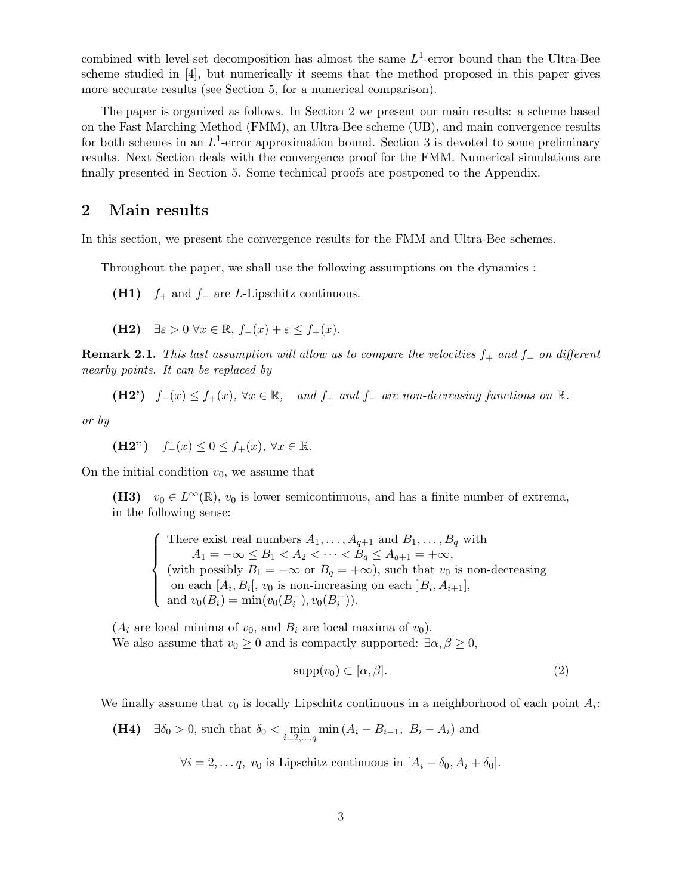combined with level-set decomposition has almost the same  $L^1$ -error bound than the Ultra-Bee scheme studied in [4], but numerically it seems that the method proposed in this paper gives more accurate results (see Section 5, for a numerical comparison).

The paper is organized as follows. In Section 2 we present our main results: a scheme based on the Fast Marching Method (FMM), an Ultra-Bee scheme (UB), and main convergence results for both schemes in an  $L^1$ -error approximation bound. Section 3 is devoted to some preliminary results. Next Section deals with the convergence proof for the FMM. Numerical simulations are finally presented in Section 5. Some technical proofs are postponed to the Appendix.

# 2 Main results

In this section, we present the convergence results for the FMM and Ultra-Bee schemes.

Throughout the paper, we shall use the following assumptions on the dynamics :

(H1)  $f_+$  and  $f_-$  are L-Lipschitz continuous.

(H2) 
$$
\exists \varepsilon > 0 \ \forall x \in \mathbb{R}, f_{-}(x) + \varepsilon \leq f_{+}(x)
$$
.

**Remark 2.1.** This last assumption will allow us to compare the velocities  $f_+$  and  $f_-\,$  on different nearby points. It can be replaced by

(H2') 
$$
f_-(x) \le f_+(x)
$$
,  $\forall x \in \mathbb{R}$ , and  $f_+$  and  $f_-$  are non-decreasing functions on  $\mathbb{R}$ .

or by

(H2") 
$$
f_-(x) \leq 0 \leq f_+(x), \forall x \in \mathbb{R}
$$
.

On the initial condition  $v_0$ , we assume that

(H3)  $v_0 \in L^{\infty}(\mathbb{R})$ ,  $v_0$  is lower semicontinuous, and has a finite number of extrema, in the following sense:

 $\sqrt{ }$  $\int$  $\overline{\mathcal{L}}$ There exist real numbers  $A_1, \ldots, A_{q+1}$  and  $B_1, \ldots, B_q$  with  $A_1 = -\infty \le B_1 < A_2 < \cdots < B_q \le A_{q+1} = +\infty,$ (with possibly  $B_1 = -\infty$  or  $B_q = +\infty$ ), such that  $v_0$  is non-decreasing on each  $[A_i, B_i], v_0$  is non-increasing on each  $]B_i, A_{i+1}],$ and  $v_0(B_i) = \min(v_0(B_i^-), v_0(B_i^+)).$ 

 $(A_i$  are local minima of  $v_0$ , and  $B_i$  are local maxima of  $v_0$ ). We also assume that  $v_0 \geq 0$  and is compactly supported:  $\exists \alpha, \beta \geq 0$ ,

$$
supp(v_0) \subset [\alpha, \beta]. \tag{2}
$$

We finally assume that  $v_0$  is locally Lipschitz continuous in a neighborhood of each point  $A_i$ :

(**H4**)  $\exists \delta_0 > 0$ , such that  $\delta_0 < \min_{i=2,...,q} \min(A_i - B_{i-1}, B_i - A_i)$  and

 $\forall i = 2, \dots q, v_0$  is Lipschitz continuous in  $[A_i - \delta_0, A_i + \delta_0]$ .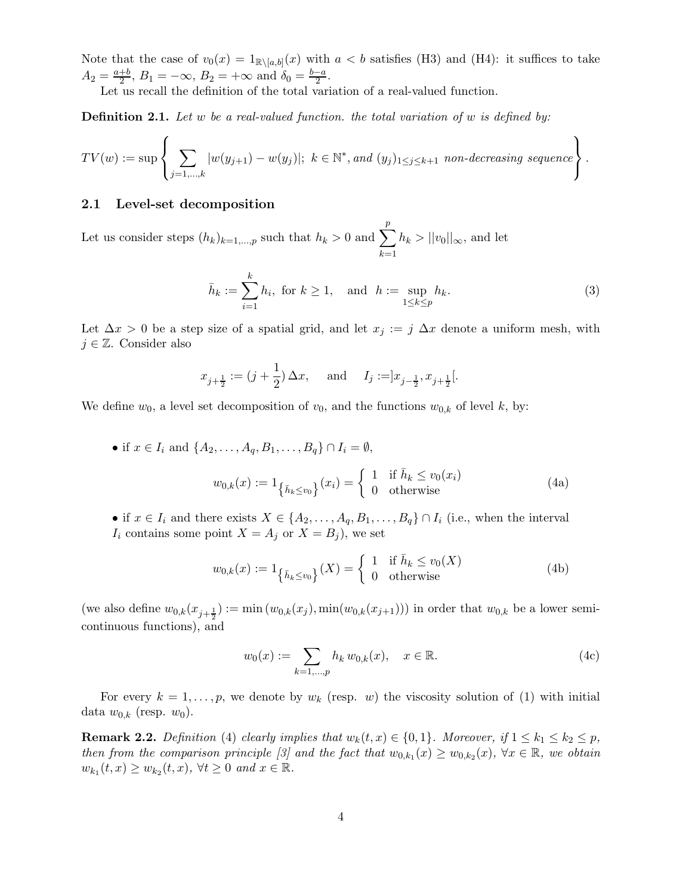Note that the case of  $v_0(x) = 1_{\mathbb{R}\setminus [a,b]}(x)$  with  $a < b$  satisfies (H3) and (H4): it suffices to take  $A_2 = \frac{a+b}{2}$  $\frac{+b}{2}$ ,  $B_1 = -\infty$ ,  $B_2 = +\infty$  and  $\delta_0 = \frac{b-a}{2}$  $\frac{-a}{2}$ .

Let us recall the definition of the total variation of a real-valued function.

**Definition 2.1.** Let w be a real-valued function. the total variation of w is defined by:

$$
TV(w) := \sup \left\{ \sum_{j=1,\ldots,k} |w(y_{j+1}) - w(y_j)|; \ k \in \mathbb{N}^*, and \ (y_j)_{1 \leq j \leq k+1} \ non-decreasing sequence \right\}.
$$

### 2.1 Level-set decomposition

Let us consider steps  $(h_k)_{k=1,\dots,p}$  such that  $h_k > 0$  and  $\sum_{k=1}^{p}$  $k=1$  $h_k > ||v_0||_{\infty}$ , and let

$$
\bar{h}_k := \sum_{i=1}^k h_i, \text{ for } k \ge 1, \text{ and } h := \sup_{1 \le k \le p} h_k.
$$
 (3)

Let  $\Delta x > 0$  be a step size of a spatial grid, and let  $x_j := j \Delta x$  denote a uniform mesh, with  $j \in \mathbb{Z}$ . Consider also

$$
x_{j+\frac{1}{2}} := (j+\frac{1}{2})\Delta x
$$
, and  $I_j := ]x_{j-\frac{1}{2}}, x_{j+\frac{1}{2}}[$ .

We define  $w_0$ , a level set decomposition of  $v_0$ , and the functions  $w_{0,k}$  of level k, by:

- if  $x \in I_i$  and  $\{A_2, \ldots, A_q, B_1, \ldots, B_q\} \cap I_i = \emptyset$ ,  $w_{0,k}(x) := 1_{\{\bar{h}_k \le v_0\}}(x_i) = \begin{cases} 1 & \text{if } \bar{h}_k \le v_0(x_i) \\ 0 & \text{otherwise} \end{cases}$  (4a)
- if  $x \in I_i$  and there exists  $X \in \{A_2, \ldots, A_q, B_1, \ldots, B_q\} \cap I_i$  (i.e., when the interval  $I_i$  contains some point  $X = A_j$  or  $X = B_j$ , we set

$$
w_{0,k}(x) := 1_{\left\{\bar{h}_k \le v_0\right\}}(X) = \begin{cases} 1 & \text{if } \bar{h}_k \le v_0(X) \\ 0 & \text{otherwise} \end{cases}
$$
 (4b)

(we also define  $w_{0,k}(x_{j+\frac{1}{2}}) := \min(w_{0,k}(x_j), \min(w_{0,k}(x_{j+1})))$  in order that  $w_{0,k}$  be a lower semicontinuous functions), and

$$
w_0(x) := \sum_{k=1,\dots,p} h_k w_{0,k}(x), \quad x \in \mathbb{R}.\tag{4c}
$$

For every  $k = 1, \ldots, p$ , we denote by  $w_k$  (resp. w) the viscosity solution of (1) with initial data  $w_{0,k}$  (resp.  $w_0$ ).

**Remark 2.2.** Definition (4) clearly implies that  $w_k(t, x) \in \{0, 1\}$ . Moreover, if  $1 \leq k_1 \leq k_2 \leq p$ , then from the comparison principle [3] and the fact that  $w_{0,k_1}(x) \geq w_{0,k_2}(x)$ ,  $\forall x \in \mathbb{R}$ , we obtain  $w_{k_1}(t,x) \ge w_{k_2}(t,x)$ ,  $\forall t \ge 0$  and  $x \in \mathbb{R}$ .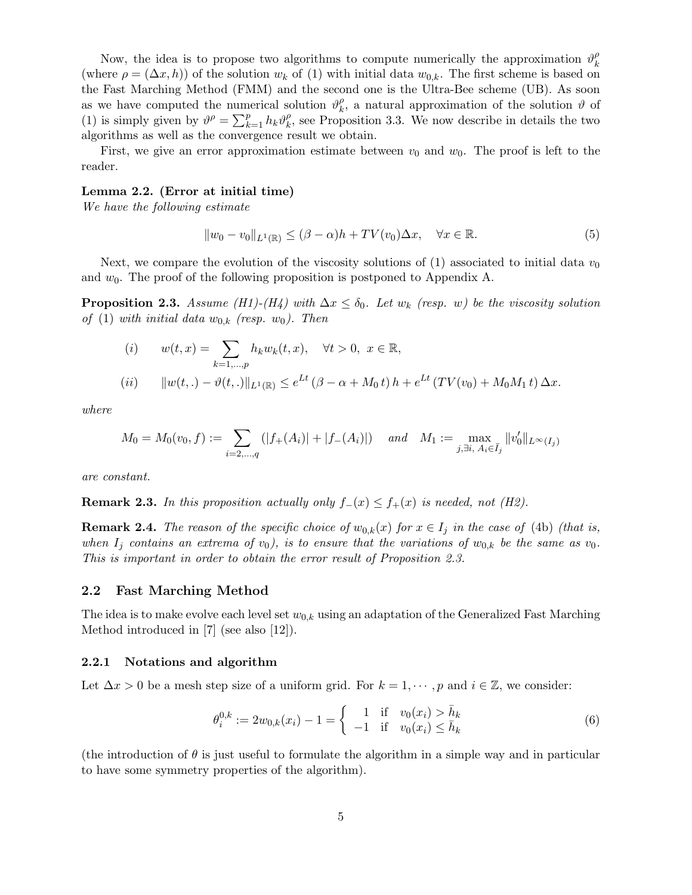Now, the idea is to propose two algorithms to compute numerically the approximation  $\vartheta_k^{\rho}$ k (where  $\rho = (\Delta x, h)$ ) of the solution  $w_k$  of (1) with initial data  $w_{0,k}$ . The first scheme is based on the Fast Marching Method (FMM) and the second one is the Ultra-Bee scheme (UB). As soon as we have computed the numerical solution  $\vartheta_k^{\rho}$  $\ell_{k}^{\rho}$ , a natural approximation of the solution  $\vartheta$  of (1) is simply given by  $\vartheta^{\rho} = \sum_{k=1}^{p} h_k \vartheta_k^{\rho}$  $\mathcal{L}_{k}^{\rho}$ , see Proposition 3.3. We now describe in details the two algorithms as well as the convergence result we obtain.

First, we give an error approximation estimate between  $v_0$  and  $w_0$ . The proof is left to the reader.

## Lemma 2.2. (Error at initial time)

We have the following estimate

$$
||w_0 - v_0||_{L^1(\mathbb{R})} \le (\beta - \alpha)h + TV(v_0)\Delta x, \quad \forall x \in \mathbb{R}.
$$
\n
$$
(5)
$$

Next, we compare the evolution of the viscosity solutions of (1) associated to initial data  $v_0$ and  $w_0$ . The proof of the following proposition is postponed to Appendix A.

**Proposition 2.3.** Assume (H1)-(H4) with  $\Delta x \leq \delta_0$ . Let  $w_k$  (resp. w) be the viscosity solution of (1) with initial data  $w_{0,k}$  (resp.  $w_0$ ). Then

(i) 
$$
w(t,x) = \sum_{k=1,...,p} h_k w_k(t,x), \quad \forall t > 0, \ x \in \mathbb{R},
$$
  
\n(ii)  $||w(t,.) - \vartheta(t,.)||_{L^1(\mathbb{R})} \le e^{Lt} (\beta - \alpha + M_0 t) h + e^{Lt} (TV(v_0) + M_0 M_1 t) \Delta x.$ 

where

$$
M_0 = M_0(v_0, f) := \sum_{i=2,\dots,q} (|f_+(A_i)| + |f_-(A_i)|) \quad \text{and} \quad M_1 := \max_{j,\exists i,\ A_i \in \bar{I}_j} ||v'_0||_{L^{\infty}(I_j)}
$$

are constant.

**Remark 2.3.** In this proposition actually only  $f_-(x) \leq f_+(x)$  is needed, not (H2).

**Remark 2.4.** The reason of the specific choice of  $w_{0,k}(x)$  for  $x \in I_i$  in the case of (4b) (that is, when  $I_i$  contains an extrema of  $v_0$ , is to ensure that the variations of  $w_{0,k}$  be the same as  $v_0$ . This is important in order to obtain the error result of Proposition 2.3.

#### 2.2 Fast Marching Method

The idea is to make evolve each level set  $w_{0,k}$  using an adaptation of the Generalized Fast Marching Method introduced in [7] (see also [12]).

#### 2.2.1 Notations and algorithm

Let  $\Delta x > 0$  be a mesh step size of a uniform grid. For  $k = 1, \dots, p$  and  $i \in \mathbb{Z}$ , we consider:

$$
\theta_i^{0,k} := 2w_{0,k}(x_i) - 1 = \begin{cases} 1 & \text{if } v_0(x_i) > \bar{h}_k \\ -1 & \text{if } v_0(x_i) \le \bar{h}_k \end{cases}
$$
(6)

(the introduction of  $\theta$  is just useful to formulate the algorithm in a simple way and in particular to have some symmetry properties of the algorithm).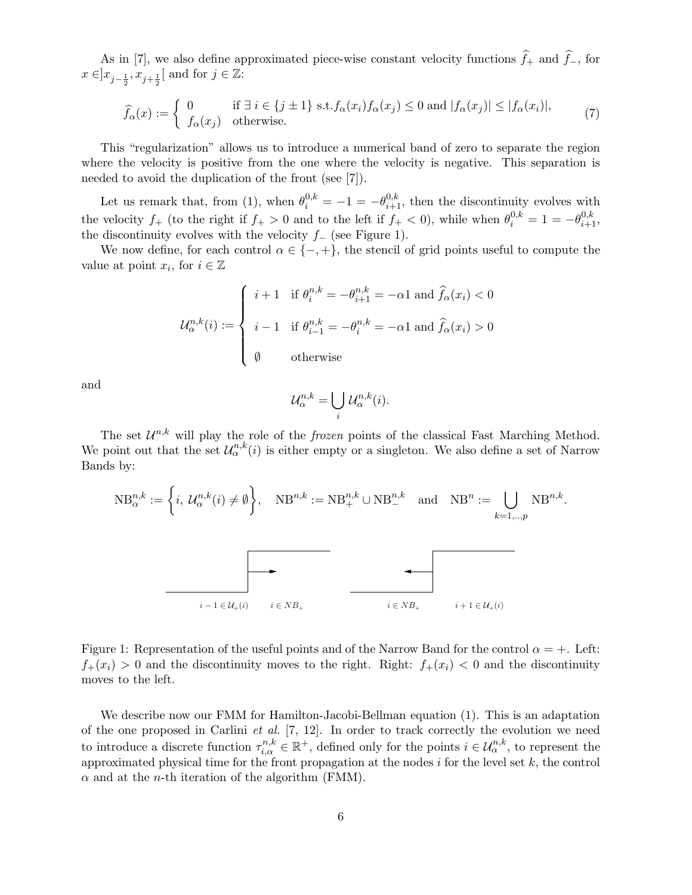As in [7], we also define approximated piece-wise constant velocity functions  $\hat{f}_+$  and  $\hat{f}_-$ , for  $x \in ]x_{j-\frac{1}{2}}, x_{j+\frac{1}{2}}[$  and for  $j \in \mathbb{Z}$ :

$$
\widehat{f}_{\alpha}(x) := \begin{cases} 0 & \text{if } \exists i \in \{j \pm 1\} \text{ s.t.} f_{\alpha}(x_i) f_{\alpha}(x_j) \le 0 \text{ and } |f_{\alpha}(x_j)| \le |f_{\alpha}(x_i)|, \\ f_{\alpha}(x_j) & \text{otherwise.} \end{cases} \tag{7}
$$

This "regularization" allows us to introduce a numerical band of zero to separate the region where the velocity is positive from the one where the velocity is negative. This separation is needed to avoid the duplication of the front (see [7]).

Let us remark that, from (1), when  $\theta_i^{0,k} = -1 = -\theta_{i+1}^{0,k}$ , then the discontinuity evolves with the velocity  $f_+$  (to the right if  $f_+ > 0$  and to the left if  $f_+ < 0$ ), while when  $\theta_i^{0,k} = 1 = -\theta_{i+1}^{0,k}$ , the discontinuity evolves with the velocity  $f_$  (see Figure 1).

We now define, for each control  $\alpha \in \{-, +\}$ , the stencil of grid points useful to compute the value at point  $x_i$ , for  $i \in \mathbb{Z}$ 

$$
\mathcal{U}_{\alpha}^{n,k}(i) := \begin{cases} i+1 & \text{if } \theta_i^{n,k} = -\theta_{i+1}^{n,k} = -\alpha 1 \text{ and } \hat{f}_{\alpha}(x_i) < 0 \\ i-1 & \text{if } \theta_{i-1}^{n,k} = -\theta_i^{n,k} = -\alpha 1 \text{ and } \hat{f}_{\alpha}(x_i) > 0 \\ \emptyset & \text{otherwise} \end{cases}
$$

and

$$
\mathcal{U}_{\alpha}^{n,k} = \bigcup_{i} \mathcal{U}_{\alpha}^{n,k}(i).
$$

The set  $\mathcal{U}^{n,k}$  will play the role of the *frozen* points of the classical Fast Marching Method. We point out that the set  $\mathcal{U}_{\alpha}^{n,k}(i)$  is either empty or a singleton. We also define a set of Narrow Bands by:



Figure 1: Representation of the useful points and of the Narrow Band for the control  $\alpha = +$ . Left:  $f_+(x_i) > 0$  and the discontinuity moves to the right. Right:  $f_+(x_i) < 0$  and the discontinuity moves to the left.

We describe now our FMM for Hamilton-Jacobi-Bellman equation (1). This is an adaptation of the one proposed in Carlini *et al.*  $[7, 12]$ . In order to track correctly the evolution we need to introduce a discrete function  $\tau_{i,\alpha}^{n,k} \in \mathbb{R}^+$ , defined only for the points  $i \in \mathcal{U}_\alpha^{n,k}$ , to represent the approximated physical time for the front propagation at the nodes  $i$  for the level set  $k$ , the control  $\alpha$  and at the *n*-th iteration of the algorithm (FMM).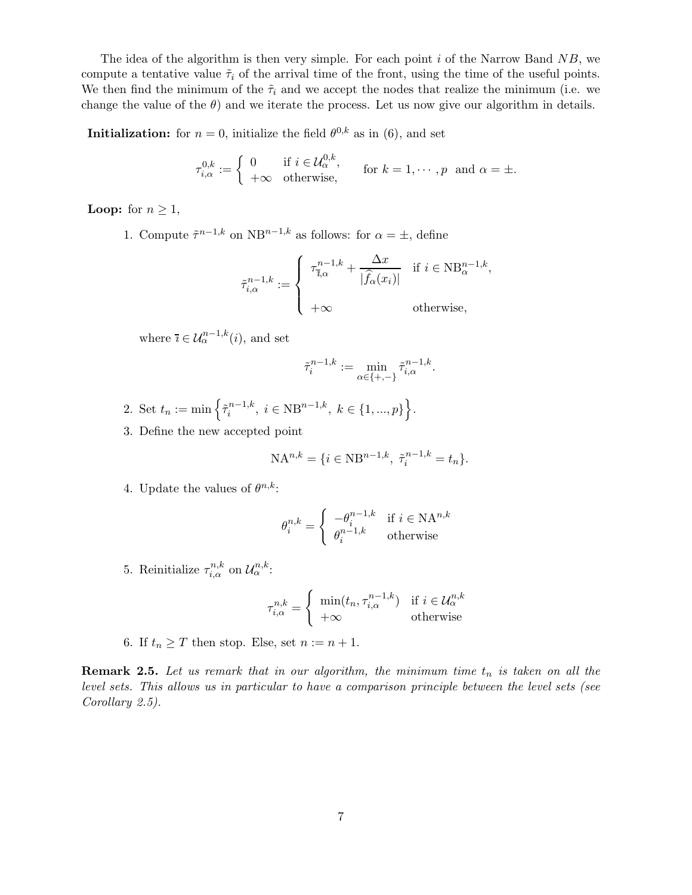The idea of the algorithm is then very simple. For each point  $i$  of the Narrow Band  $NB$ , we compute a tentative value  $\tilde{\tau}_i$  of the arrival time of the front, using the time of the useful points. We then find the minimum of the  $\tilde{\tau}_i$  and we accept the nodes that realize the minimum (i.e. we change the value of the  $\theta$ ) and we iterate the process. Let us now give our algorithm in details.

**Initialization:** for  $n = 0$ , initialize the field  $\theta^{0,k}$  as in  $(6)$ , and set

$$
\tau_{i,\alpha}^{0,k} := \begin{cases} 0 & \text{if } i \in \mathcal{U}_{\alpha}^{0,k}, \\ +\infty & \text{otherwise}, \end{cases} \quad \text{for } k = 1, \cdots, p \text{ and } \alpha = \pm.
$$

**Loop:** for  $n \geq 1$ ,

1. Compute  $\tilde{\tau}^{n-1,k}$  on NB<sup>n-1,k</sup> as follows: for  $\alpha = \pm$ , define

$$
\tilde{\tau}_{i,\alpha}^{n-1,k} := \begin{cases}\n\tau_{i,\alpha}^{n-1,k} + \frac{\Delta x}{|\hat{f}_{\alpha}(x_i)|} & \text{if } i \in \text{NB}_{\alpha}^{n-1,k}, \\
+\infty & \text{otherwise,} \n\end{cases}
$$

where  $\bar{\imath} \in \mathcal{U}_{\alpha}^{n-1,k}(i)$ , and set

$$
\tilde{\tau}_i^{n-1,k} := \min_{\alpha \in \{+, -\}} \tilde{\tau}_{i,\alpha}^{n-1,k}.
$$

- 2. Set  $t_n := \min \left\{ \tilde{\tau}_i^{n-1,k} \right\}$  $\{i}^{n-1,k}, i \in \text{NB}^{n-1,k}, k \in \{1, ..., p\}\bigg\}.$
- 3. Define the new accepted point

$$
NA^{n,k} = \{ i \in NB^{n-1,k}, \ \tilde{\tau}_i^{n-1,k} = t_n \}.
$$

4. Update the values of  $\theta^{n,k}$ :

$$
\theta_i^{n,k} = \begin{cases}\n-\theta_i^{n-1,k} & \text{if } i \in \mathbf{NA}^{n,k} \\
\theta_i^{n-1,k} & \text{otherwise}\n\end{cases}
$$

5. Reinitialize  $\tau_{i,\alpha}^{n,k}$  on  $\mathcal{U}_{\alpha}^{n,k}$ :

$$
\tau_{i,\alpha}^{n,k} = \begin{cases} \min(t_n, \tau_{i,\alpha}^{n-1,k}) & \text{if } i \in \mathcal{U}_{\alpha}^{n,k} \\ +\infty & \text{otherwise} \end{cases}
$$

6. If  $t_n \geq T$  then stop. Else, set  $n := n + 1$ .

**Remark 2.5.** Let us remark that in our algorithm, the minimum time  $t_n$  is taken on all the level sets. This allows us in particular to have a comparison principle between the level sets (see Corollary 2.5).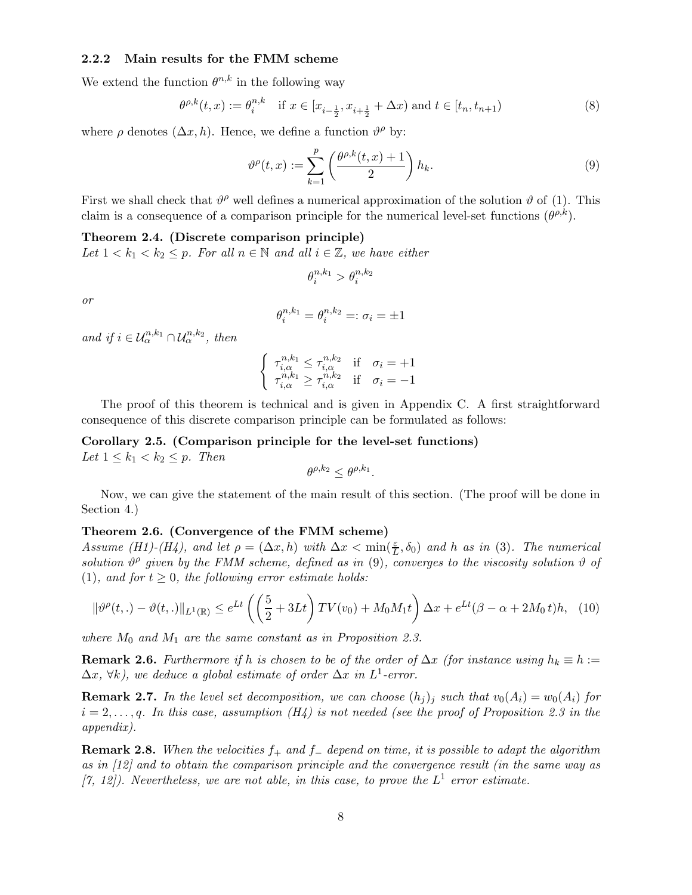#### 2.2.2 Main results for the FMM scheme

We extend the function  $\theta^{n,k}$  in the following way

$$
\theta^{\rho,k}(t,x) := \theta_i^{n,k} \quad \text{if } x \in [x_{i-\frac{1}{2}}, x_{i+\frac{1}{2}} + \Delta x) \text{ and } t \in [t_n, t_{n+1})
$$
\n
$$
(8)
$$

where  $\rho$  denotes  $(\Delta x, h)$ . Hence, we define a function  $\vartheta^{\rho}$  by:

$$
\vartheta^{\rho}(t,x) := \sum_{k=1}^{p} \left( \frac{\theta^{\rho,k}(t,x) + 1}{2} \right) h_k.
$$
\n(9)

First we shall check that  $\vartheta^{\rho}$  well defines a numerical approximation of the solution  $\vartheta$  of (1). This claim is a consequence of a comparison principle for the numerical level-set functions  $(\theta^{\rho,k})$ .

# Theorem 2.4. (Discrete comparison principle)

Let  $1 < k_1 < k_2 \leq p$ . For all  $n \in \mathbb{N}$  and all  $i \in \mathbb{Z}$ , we have either

$$
\theta_i^{n,k_1} > \theta_i^{n,k_2}
$$

or

$$
\theta_i^{n,k_1} = \theta_i^{n,k_2} =: \sigma_i = \pm 1
$$

and if  $i \in \mathcal{U}_{\alpha}^{n,k_1} \cap \mathcal{U}_{\alpha}^{n,k_2}$ , then

$$
\begin{cases} \tau_{i,\alpha}^{n,k_1} \leq \tau_{i,\alpha}^{n,k_2} & \text{if } \sigma_i = +1 \\ \tau_{i,\alpha}^{n,k_1} \geq \tau_{i,\alpha}^{n,k_2} & \text{if } \sigma_i = -1 \end{cases}
$$

The proof of this theorem is technical and is given in Appendix C. A first straightforward consequence of this discrete comparison principle can be formulated as follows:

Corollary 2.5. (Comparison principle for the level-set functions) Let  $1 \leq k_1 < k_2 \leq p$ . Then

$$
\theta^{\rho,k_2} \leq \theta^{\rho,k_1}.
$$

Now, we can give the statement of the main result of this section. (The proof will be done in Section 4.)

#### Theorem 2.6. (Convergence of the FMM scheme)

Assume (H1)-(H4), and let  $\rho = (\Delta x, h)$  with  $\Delta x < \min(\frac{\varepsilon}{L}, \delta_0)$  and h as in (3). The numerical solution  $\vartheta^{\rho}$  given by the FMM scheme, defined as in (9), converges to the viscosity solution  $\vartheta$  of (1), and for  $t \geq 0$ , the following error estimate holds:

$$
\|\vartheta^{\rho}(t,.) - \vartheta(t,.)\|_{L^{1}(\mathbb{R})} \le e^{Lt} \left( \left(\frac{5}{2} + 3Lt\right) TV(v_0) + M_0M_1t \right) \Delta x + e^{Lt}(\beta - \alpha + 2M_0t)h, \tag{10}
$$

where  $M_0$  and  $M_1$  are the same constant as in Proposition 2.3.

**Remark 2.6.** Furthermore if h is chosen to be of the order of  $\Delta x$  (for instance using  $h_k \equiv h :=$  $(\Delta x, \forall k)$ , we deduce a global estimate of order  $\Delta x$  in  $L^1$ -error.

**Remark 2.7.** In the level set decomposition, we can choose  $(h_i)_i$  such that  $v_0(A_i) = w_0(A_i)$  for  $i = 2, \ldots, q$ . In this case, assumption (H4) is not needed (see the proof of Proposition 2.3 in the appendix).

**Remark 2.8.** When the velocities  $f_+$  and  $f_-$  depend on time, it is possible to adapt the algorithm as in [12] and to obtain the comparison principle and the convergence result (in the same way as [7, 12]). Nevertheless, we are not able, in this case, to prove the  $L^1$  error estimate.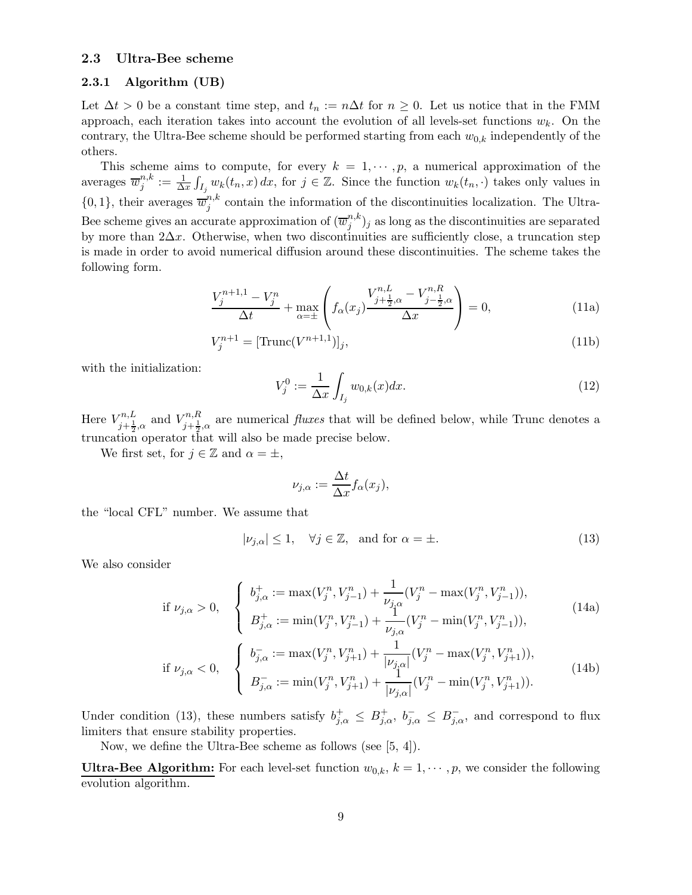### 2.3 Ultra-Bee scheme

#### 2.3.1 Algorithm (UB)

Let  $\Delta t > 0$  be a constant time step, and  $t_n := n\Delta t$  for  $n \geq 0$ . Let us notice that in the FMM approach, each iteration takes into account the evolution of all levels-set functions  $w_k$ . On the contrary, the Ultra-Bee scheme should be performed starting from each  $w_{0,k}$  independently of the others.

This scheme aims to compute, for every  $k = 1, \dots, p$ , a numerical approximation of the averages  $\overline{w}_{i}^{n,k}$  $j^{n,k} := \frac{1}{\Delta x} \int_{I_j} w_k(t_n, x) dx$ , for  $j \in \mathbb{Z}$ . Since the function  $w_k(t_n, \cdot)$  takes only values in  $\{0,1\}$ , their averages  $\overline{w}_{j}^{n,k}$  $j^{n,\kappa}$  contain the information of the discontinuities localization. The Ultra-Bee scheme gives an accurate approximation of  $(\overline{w}_i^{n,k})$  $j^{(n,\kappa)}_j$  as long as the discontinuities are separated by more than  $2\Delta x$ . Otherwise, when two discontinuities are sufficiently close, a truncation step is made in order to avoid numerical diffusion around these discontinuities. The scheme takes the following form.

$$
\frac{V_j^{n+1,1} - V_j^n}{\Delta t} + \max_{\alpha = \pm} \left( f_\alpha(x_j) \frac{V_{j+\frac{1}{2},\alpha}^{n,L} - V_{j-\frac{1}{2},\alpha}^{n,R}}{\Delta x} \right) = 0,
$$
\n(11a)

$$
V_j^{n+1} = \left[ \text{Trunc}(V^{n+1,1}) \right]_j,\tag{11b}
$$

with the initialization:

$$
V_j^0 := \frac{1}{\Delta x} \int_{I_j} w_{0,k}(x) dx.
$$
 (12)

Here  $V^{n,L}_{i+1}$  $V_{j+\frac{1}{2},\alpha}^{n,L}$  and  $V_{j+\frac{1}{2}}^{n,R}$  $j_{j+\frac{1}{2},\alpha}^{n,n}$  are numerical *fluxes* that will be defined below, while Trunc denotes a truncation operator that will also be made precise below.

We first set, for  $j \in \mathbb{Z}$  and  $\alpha = \pm$ ,

$$
\nu_{j,\alpha} := \frac{\Delta t}{\Delta x} f_{\alpha}(x_j),
$$

the "local CFL" number. We assume that

$$
|\nu_{j,\alpha}| \le 1, \quad \forall j \in \mathbb{Z}, \text{ and for } \alpha = \pm.
$$
 (13)

We also consider

if 
$$
\nu_{j,\alpha} > 0
$$
, 
$$
\begin{cases} b_{j,\alpha}^+ := \max(V_j^n, V_{j-1}^n) + \frac{1}{\nu_{j,\alpha}}(V_j^n - \max(V_j^n, V_{j-1}^n)), \\ B_{j,\alpha}^+ := \min(V_j^n, V_{j-1}^n) + \frac{1}{\nu_{j,\alpha}}(V_j^n - \min(V_j^n, V_{j-1}^n)), \end{cases}
$$
(14a)

$$
B_{j,\alpha}^{+} := \min(V_j^n, V_{j-1}^n) + \frac{1}{\nu_{j,\alpha}}(V_j^n - \min(V_j^n, V_{j-1}^n)),
$$
  

$$
\left( b_{j,\alpha}^{-} := \max(V_j^n, V_{j+1}^n) + \frac{1}{|\nu_{j,\alpha}|}(V_j^n - \max(V_j^n, V_{j+1}^n)),\right)
$$

if 
$$
\nu_{j,\alpha} < 0
$$
, 
$$
\begin{cases} b_{j,\alpha}^- := \max(V_j^n, V_{j+1}^n) + \frac{1}{|\nu_{j,\alpha}|}(V_j^n - \max(V_j^n, V_{j+1}^n)), \\ B_{j,\alpha}^- := \min(V_j^n, V_{j+1}^n) + \frac{1}{|\nu_{j,\alpha}|}(V_j^n - \min(V_j^n, V_{j+1}^n)). \end{cases}
$$
(14b)

Under condition (13), these numbers satisfy  $b_{j,\alpha}^+ \leq B_{j,\alpha}^+$ ,  $b_{j,\alpha}^- \leq B_{j,\alpha}^-$ , and correspond to flux limiters that ensure stability properties.

Now, we define the Ultra-Bee scheme as follows (see [5, 4]).

**Ultra-Bee Algorithm:** For each level-set function  $w_{0,k}$ ,  $k = 1, \dots, p$ , we consider the following evolution algorithm.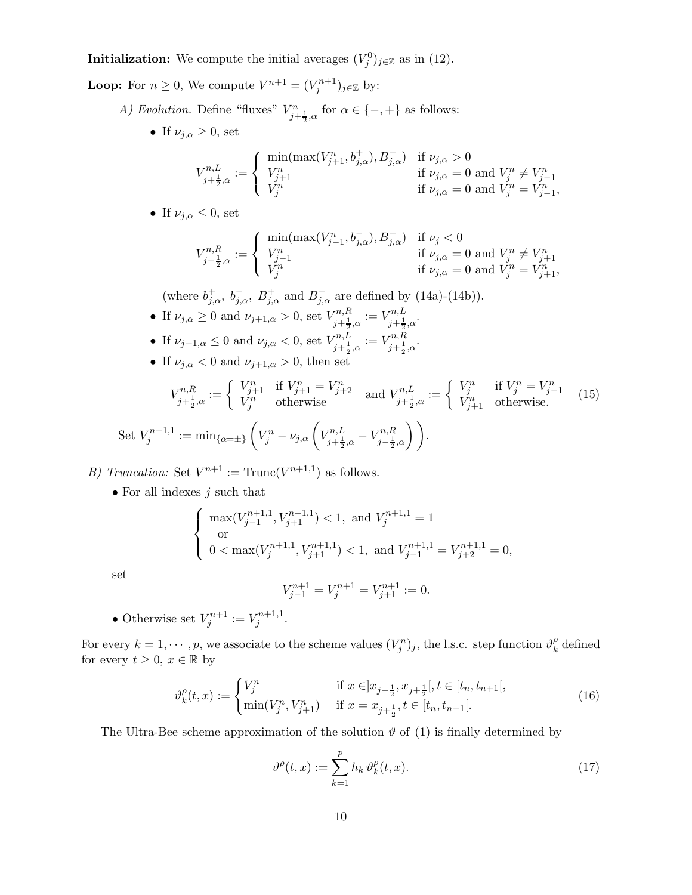**Initialization:** We compute the initial averages  $(V_j^0)_{j\in\mathbb{Z}}$  as in (12).

**Loop:** For  $n \geq 0$ , We compute  $V^{n+1} = (V_j^{n+1})_{j \in \mathbb{Z}}$  by:

- A) Evolution. Define "fluxes"  $V_{j+\frac{1}{2},\alpha}^n$  for  $\alpha \in \{-,+\}$  as follows:
	- If  $\nu_{j,\alpha} \geq 0$ , set

$$
V_{j+\frac{1}{2},\alpha}^{n,L}:=\left\{\begin{array}{ll}\displaystyle\min(\max(V_{j+1}^n,b_{j,\alpha}^+),B_{j,\alpha}^+) & \text{if }\nu_{j,\alpha}>0\\ V_{j+1}^n & \text{if }\nu_{j,\alpha}=0\text{ and }V_j^n\neq V_{j-1}^n\\ V_j^n & \text{if }\nu_{j,\alpha}=0\text{ and }V_j^n=V_{j-1}^n, \end{array}\right.
$$

• If  $\nu_{i,\alpha} \leq 0$ , set

$$
V_{j-\frac{1}{2},\alpha}^{n,R}:=\left\{\begin{array}{ll}\displaystyle\min(\max(V_{j-1}^n,b_{j,\alpha}^-),B_{j,\alpha}^-) & \text{if }\nu_j<0\\ V_{j-1}^n & \text{if }\nu_{j,\alpha}=0\text{ and }V_{j}^n\neq V_{j+1}^n\\ V_{j}^n & \text{if }\nu_{j,\alpha}=0\text{ and }V_{j}^n=V_{j+1}^n, \end{array}\right.
$$

(where  $b_{j,\alpha}^+$ ,  $b_{j,\alpha}^-$ ,  $B_{j,\alpha}^+$  and  $B_{j,\alpha}^-$  are defined by (14a)-(14b)).

- If  $\nu_{j,\alpha} \geq 0$  and  $\nu_{j+1,\alpha} > 0$ , set  $V_{j+\frac{1}{2}}^{n,R}$  $\chi_{j+\frac{1}{2},\alpha}^{n,R} := V_{j+\frac{1}{2}}^{n,L}$  $\sum_{j+\frac{1}{2},\alpha}^{n,L}$ • If  $\nu_{j+1,\alpha} \leq 0$  and  $\nu_{j,\alpha} < 0$ , set  $V_{j+\frac{1}{2}}^{n,L}$  $\zeta_{j+\frac{1}{2},\alpha}^{n,L} := V_{j+\frac{1}{2}}^{n,R}$  $\sum_{j+\frac{1}{2},\alpha}^{n,n}$
- If  $\nu_{j,\alpha} < 0$  and  $\nu_{j+1,\alpha} > 0$ , then set

$$
V_{j+\frac{1}{2},\alpha}^{n,R} := \begin{cases} V_{j+1}^n & \text{if } V_{j+1}^n = V_{j+2}^n \\ V_j^n & \text{otherwise} \end{cases} \text{ and } V_{j+\frac{1}{2},\alpha}^{n,L} := \begin{cases} V_j^n & \text{if } V_j^n = V_{j-1}^n \\ V_{j+1}^n & \text{otherwise.} \end{cases} (15)
$$
  
Set  $V_j^{n+1,1} := \min_{\{\alpha = \pm\}} \left( V_j^n - \nu_{j,\alpha} \left( V_{j+\frac{1}{2},\alpha}^{n,L} - V_{j-\frac{1}{2},\alpha}^{n,R} \right) \right).$ 

- B) Truncation: Set  $V^{n+1}$  := Trunc $(V^{n+1,1})$  as follows.
	- For all indexes  $j$  such that

$$
\left\{\begin{array}{l} \max(V^{n+1,1}_{j-1},V^{n+1,1}_{j+1})<1, \text{ and }V^{n+1,1}_{j}=1 \\ \text{or} \\ 0<\max(V^{n+1,1}_{j},V^{n+1,1}_{j+1})<1, \text{ and }V^{n+1,1}_{j-1}=V^{n+1,1}_{j+2}=0, \end{array}\right.
$$

set

$$
V_{j-1}^{n+1} = V_j^{n+1} = V_{j+1}^{n+1} := 0.
$$

• Otherwise set  $V_j^{n+1} := V_j^{n+1,1}$ rn+1,1<br>j

For every  $k = 1, \dots, p$ , we associate to the scheme values  $(V_j^n)_j$ , the l.s.c. step function  $\vartheta_k^{\rho}$  $\frac{\rho}{k}$  defined for every  $t \geq 0, x \in \mathbb{R}$  by

$$
\vartheta_k^{\rho}(t,x) := \begin{cases} V_j^n & \text{if } x \in ]x_{j-\frac{1}{2}}, x_{j+\frac{1}{2}}[, t \in [t_n, t_{n+1}[, \\ \min(V_j^n, V_{j+1}^n) & \text{if } x = x_{j+\frac{1}{2}}, t \in [t_n, t_{n+1}[. \end{cases}
$$
(16)

The Ultra-Bee scheme approximation of the solution  $\vartheta$  of (1) is finally determined by

$$
\vartheta^{\rho}(t,x) := \sum_{k=1}^{p} h_k \vartheta_k^{\rho}(t,x). \tag{17}
$$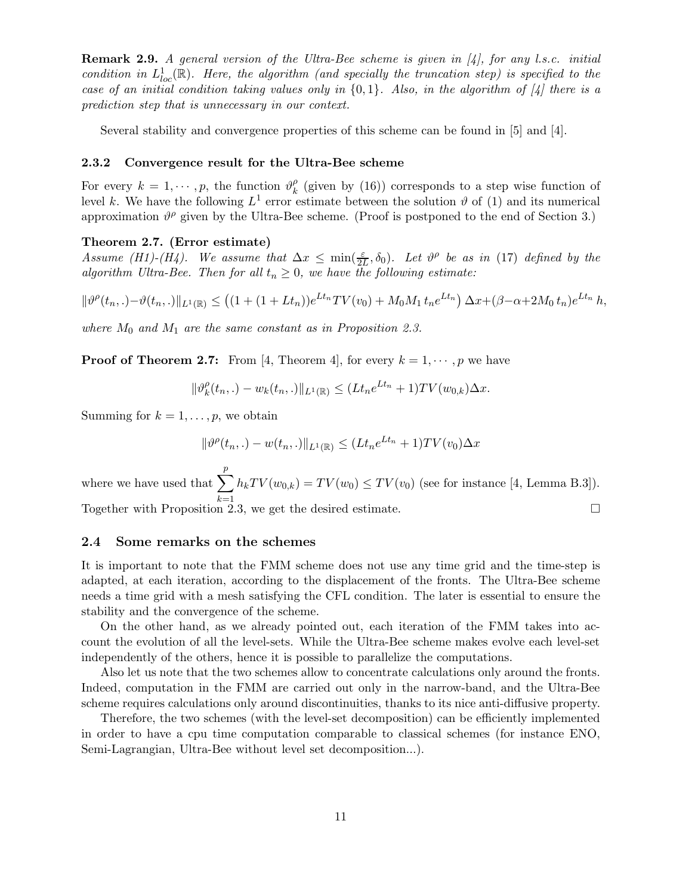**Remark 2.9.** A general version of the Ultra-Bee scheme is given in [4], for any l.s.c. initial condition in  $L^1_{loc}(\mathbb{R})$ . Here, the algorithm (and specially the truncation step) is specified to the case of an initial condition taking values only in  $\{0,1\}$ . Also, in the algorithm of  $\mathcal{A}$  there is a prediction step that is unnecessary in our context.

Several stability and convergence properties of this scheme can be found in [5] and [4].

#### 2.3.2 Convergence result for the Ultra-Bee scheme

For every  $k = 1, \dots, p$ , the function  $\vartheta_k^{\rho}$  $\binom{p}{k}$  (given by (16)) corresponds to a step wise function of level k. We have the following  $L^1$  error estimate between the solution  $\vartheta$  of (1) and its numerical approximation  $\vartheta^{\rho}$  given by the Ultra-Bee scheme. (Proof is postponed to the end of Section 3.)

### Theorem 2.7. (Error estimate)

Assume (H1)-(H4). We assume that  $\Delta x \leq \min(\frac{\varepsilon}{2L}, \delta_0)$ . Let  $\vartheta^{\rho}$  be as in (17) defined by the algorithm Ultra-Bee. Then for all  $t_n \geq 0$ , we have the following estimate:

$$
\|\vartheta^{\rho}(t_n,.) - \vartheta(t_n,.)\|_{L^1(\mathbb{R})} \le ((1 + (1 + Lt_n))e^{Lt_n}TV(v_0) + M_0M_1 t_n e^{Lt_n}) \Delta x + (\beta - \alpha + 2M_0 t_n)e^{Lt_n} h,
$$

where  $M_0$  and  $M_1$  are the same constant as in Proposition 2.3.

**Proof of Theorem 2.7:** From [4, Theorem 4], for every  $k = 1, \dots, p$  we have

 $\|\vartheta_k^{\rho}$  $\|f_k^{\rho}(t_n,.) - w_k(t_n,.)\|_{L^1(\mathbb{R})} \leq (Lt_n e^{Lt_n} + 1)TV(w_{0,k})\Delta x.$ 

Summing for  $k = 1, \ldots, p$ , we obtain

$$
\|\vartheta^{\rho}(t_n,.) - w(t_n,.)\|_{L^1(\mathbb{R})} \le (Lt_n e^{Lt_n} + 1)TV(v_0)\Delta x
$$

where we have used that  $\sum_{n=1}^p$  $k=1$  $h_kTV(w_{0,k}) = TV(w_0) \le TV(v_0)$  (see for instance [4, Lemma B.3]). Together with Proposition 2.3, we get the desired estimate.

### 2.4 Some remarks on the schemes

It is important to note that the FMM scheme does not use any time grid and the time-step is adapted, at each iteration, according to the displacement of the fronts. The Ultra-Bee scheme needs a time grid with a mesh satisfying the CFL condition. The later is essential to ensure the stability and the convergence of the scheme.

On the other hand, as we already pointed out, each iteration of the FMM takes into account the evolution of all the level-sets. While the Ultra-Bee scheme makes evolve each level-set independently of the others, hence it is possible to parallelize the computations.

Also let us note that the two schemes allow to concentrate calculations only around the fronts. Indeed, computation in the FMM are carried out only in the narrow-band, and the Ultra-Bee scheme requires calculations only around discontinuities, thanks to its nice anti-diffusive property.

Therefore, the two schemes (with the level-set decomposition) can be efficiently implemented in order to have a cpu time computation comparable to classical schemes (for instance ENO, Semi-Lagrangian, Ultra-Bee without level set decomposition...).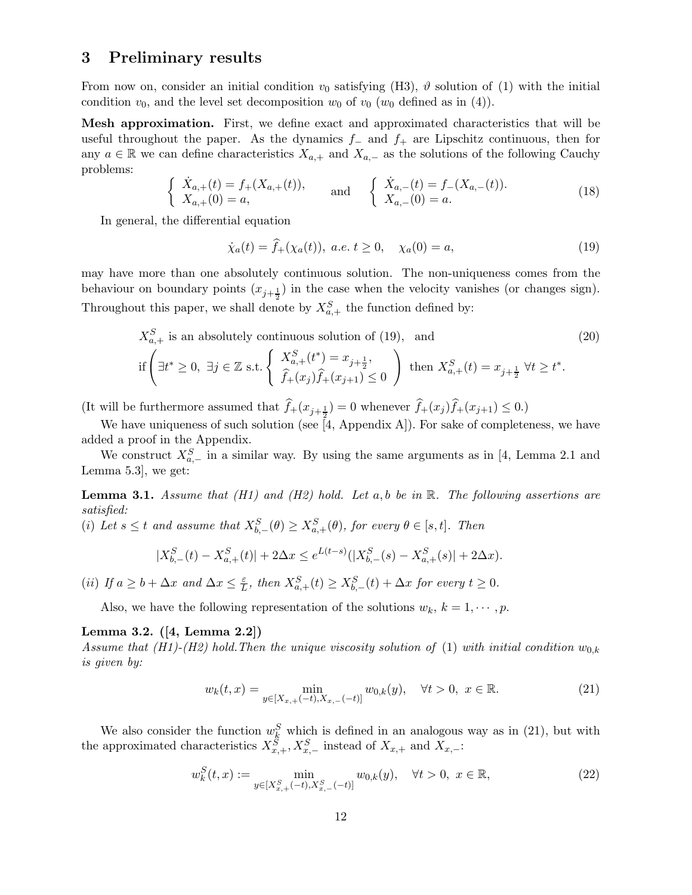# 3 Preliminary results

From now on, consider an initial condition  $v_0$  satisfying (H3),  $\vartheta$  solution of (1) with the initial condition  $v_0$ , and the level set decomposition  $w_0$  of  $v_0$  ( $w_0$  defined as in (4)).

Mesh approximation. First, we define exact and approximated characteristics that will be useful throughout the paper. As the dynamics  $f_-\,$  and  $f_+\,$  are Lipschitz continuous, then for any  $a \in \mathbb{R}$  we can define characteristics  $X_{a,+}$  and  $X_{a,-}$  as the solutions of the following Cauchy problems:

$$
\begin{cases}\n\dot{X}_{a,+}(t) = f_{+}(X_{a,+}(t)), \\
X_{a,+}(0) = a,\n\end{cases}\n\text{ and }\n\begin{cases}\n\dot{X}_{a,-}(t) = f_{-}(X_{a,-}(t)). \\
X_{a,-}(0) = a.\n\end{cases}\n(18)
$$

In general, the differential equation

$$
\dot{\chi}_a(t) = \hat{f}_+(\chi_a(t)), \ a.e. \ t \ge 0, \quad \chi_a(0) = a,
$$
\n(19)

may have more than one absolutely continuous solution. The non-uniqueness comes from the behaviour on boundary points  $(x_{j+\frac{1}{2}})$  in the case when the velocity vanishes (or changes sign). Throughout this paper, we shall denote by  $X_{a,+}^S$  the function defined by:

$$
X_{a,+}^{S} \text{ is an absolutely continuous solution of (19), and}
$$
\n
$$
\text{if } \left(\exists t^* \ge 0, \ \exists j \in \mathbb{Z} \text{ s.t.} \left\{ \begin{array}{l} X_{a,+}^{S}(t^*) = x_{j+\frac{1}{2}}, \\ \hat{f}_+(x_j)\hat{f}_+(x_{j+1}) \le 0 \end{array} \right\} \text{ then } X_{a,+}^{S}(t) = x_{j+\frac{1}{2}} \ \forall t \ge t^*.
$$
\n(20)

(It will be furthermore assumed that  $f_+(x_{j+\frac{1}{2}}) = 0$  whenever  $f_+(x_j) f_+(x_{j+1}) \leq 0$ .)

We have uniqueness of such solution (see  $[4,$  Appendix A]). For sake of completeness, we have added a proof in the Appendix.

We construct  $X_{a,-}^S$  in a similar way. By using the same arguments as in [4, Lemma 2.1 and Lemma 5.3], we get:

**Lemma 3.1.** Assume that (H1) and (H2) hold. Let a, b be in R. The following assertions are satisfied:

(i) Let  $s \leq t$  and assume that  $X_{b,-}^S(\theta) \geq X_{a,+}^S(\theta)$ , for every  $\theta \in [s,t]$ . Then

$$
|X_{b,-}^{S}(t) - X_{a,+}^{S}(t)| + 2\Delta x \le e^{L(t-s)}(|X_{b,-}^{S}(s) - X_{a,+}^{S}(s)| + 2\Delta x).
$$

(*ii*) If  $a \geq b + \Delta x$  and  $\Delta x \leq \frac{\varepsilon}{L}$  $\sum_{t=1}^{\varepsilon}$ , then  $X_{a,+}^{S}(t) \geq X_{b,-}^{S}(t) + \Delta x$  for every  $t \geq 0$ .

Also, we have the following representation of the solutions  $w_k$ ,  $k = 1, \dots, p$ .

### Lemma 3.2. ([4, Lemma 2.2])

Assume that (H1)-(H2) hold. Then the unique viscosity solution of (1) with initial condition  $w_{0,k}$ is given by:

$$
w_k(t,x) = \min_{y \in [X_{x,+}(-t), X_{x,-}(-t)]} w_{0,k}(y), \quad \forall t > 0, \ x \in \mathbb{R}.
$$
 (21)

We also consider the function  $w_k^S$  which is defined in an analogous way as in (21), but with the approximated characteristics  $X_{x,+}^S, X_{x,-}^S$  instead of  $X_{x,+}$  and  $X_{x,-}$ :

$$
w_k^S(t, x) := \min_{y \in [X_{x,+}^S(-t), X_{x,-}^S(-t)]} w_{0,k}(y), \quad \forall t > 0, \ x \in \mathbb{R},
$$
\n(22)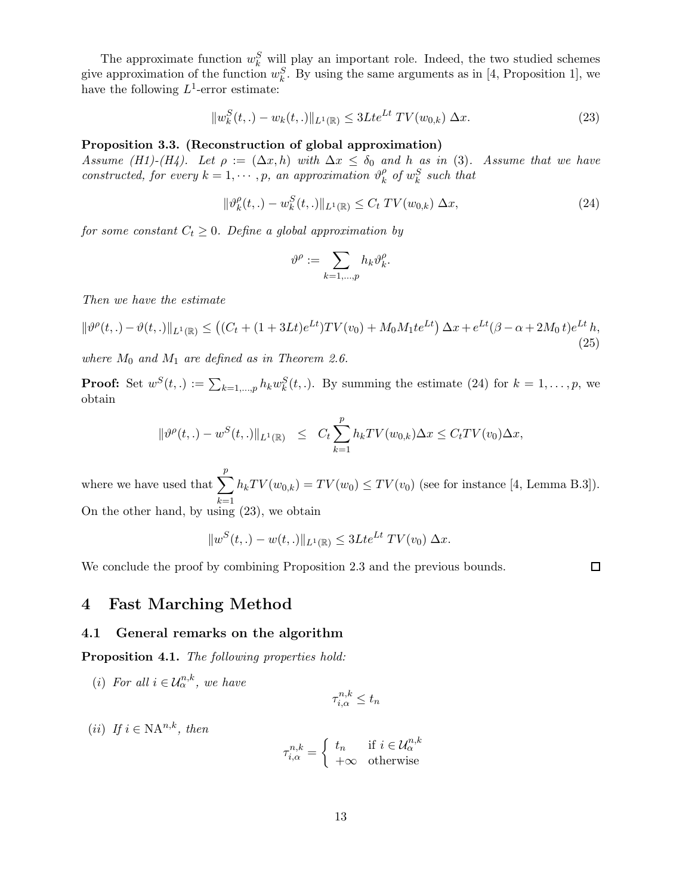The approximate function  $w_k^S$  will play an important role. Indeed, the two studied schemes give approximation of the function  $w_k^S$ . By using the same arguments as in [4, Proposition 1], we have the following  $L^1$ -error estimate:

$$
||w_k^S(t,.) - w_k(t,.)||_{L^1(\mathbb{R})} \le 3Lte^{Lt} \, TV(w_{0,k}) \, \Delta x. \tag{23}
$$

## Proposition 3.3. (Reconstruction of global approximation)

Assume (H1)-(H4). Let  $\rho := (\Delta x, h)$  with  $\Delta x \leq \delta_0$  and h as in (3). Assume that we have constructed, for every  $k = 1, \dots, p$ , an approximation  $\vartheta_k^{\rho}$  $\frac{\rho}{k}$  of  $w_k^S$  such that

$$
\|\vartheta_k^{\rho}(t,.) - w_k^S(t,.)\|_{L^1(\mathbb{R})} \le C_t \, TV(w_{0,k}) \, \Delta x,\tag{24}
$$

 $\Box$ 

for some constant  $C_t \geq 0$ . Define a global approximation by

$$
\vartheta^\rho:=\sum_{k=1,\ldots,p} h_k\vartheta_k^\rho.
$$

Then we have the estimate

$$
\|\vartheta^{\rho}(t,.) - \vartheta(t,.)\|_{L^{1}(\mathbb{R})} \le \left( (C_t + (1 + 3Lt)e^{Lt})TV(v_0) + M_0M_1te^{Lt} \right) \Delta x + e^{Lt}(\beta - \alpha + 2M_0t)e^{Lt}h,
$$
\n(25)

where  $M_0$  and  $M_1$  are defined as in Theorem 2.6.

**Proof:** Set  $w^S(t,.) := \sum_{k=1,\dots,p} h_k w_k^S(t,.)$ . By summing the estimate (24) for  $k=1,\dots,p$ , we obtain

$$
\|\vartheta^{\rho}(t,.) - w^S(t,.)\|_{L^1(\mathbb{R})} \leq C_t \sum_{k=1}^p h_k TV(w_{0,k}) \Delta x \leq C_t TV(v_0) \Delta x,
$$

where we have used that  $\sum_{n=1}^p$  $k=1$  $h_kTV(w_{0,k}) = TV(w_0) \le TV(v_0)$  (see for instance [4, Lemma B.3]). On the other hand, by using (23), we obtain

$$
||w^{S}(t,.) - w(t,.)||_{L^{1}(\mathbb{R})} \leq 3Lte^{Lt} TV(v_0) \Delta x.
$$

We conclude the proof by combining Proposition 2.3 and the previous bounds.

4 Fast Marching Method

### 4.1 General remarks on the algorithm

Proposition 4.1. The following properties hold:

(i) For all  $i \in \mathcal{U}_{\alpha}^{n,k}$ , we have

$$
\tau_{i,\alpha}^{n,k} \le t_n
$$

(ii) If  $i \in \mathbb{N}A^{n,k}$ , then

$$
\tau_{i,\alpha}^{n,k} = \begin{cases} t_n & \text{if } i \in \mathcal{U}_{\alpha}^{n,k} \\ +\infty & \text{otherwise} \end{cases}
$$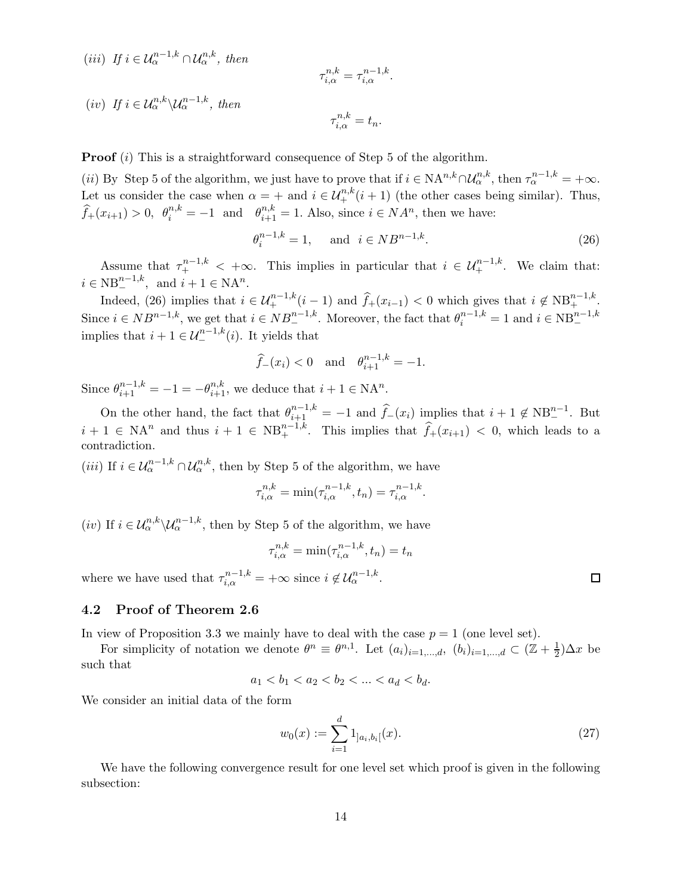(iii) If 
$$
i \in \mathcal{U}_{\alpha}^{n-1,k} \cap \mathcal{U}_{\alpha}^{n,k}
$$
, then  
\n
$$
\tau_{i,\alpha}^{n,k} = \tau_{i,\alpha}^{n-1,k}.
$$
\n(iv) If  $i \in \mathcal{U}_{\alpha}^{n,k} \setminus \mathcal{U}_{\alpha}^{n-1,k}$ , then  
\n
$$
\tau_{i,\alpha}^{n,k} = t_n.
$$

**Proof** (i) This is a straightforward consequence of Step 5 of the algorithm.

(*ii*) By Step 5 of the algorithm, we just have to prove that if  $i \in NA^{n,k} \cap \mathcal{U}_{\alpha}^{n,k}$ , then  $\tau_{\alpha}^{n-1,k} = +\infty$ . Let us consider the case when  $\alpha = +$  and  $i \in \mathcal{U}^{n,k}_+(i+1)$  (the other cases being similar). Thus,  $\widehat{f}_+(x_{i+1}) > 0$ ,  $\theta_i^{n,k} = -1$  and  $\theta_{i+1}^{n,k} = 1$ . Also, since  $i \in NA^n$ , then we have:

$$
\theta_i^{n-1,k} = 1, \quad \text{and} \quad i \in NB^{n-1,k}.
$$
 (26)

Assume that  $\tau^{n-1,k}_+ < +\infty$ . This implies in particular that  $i \in \mathcal{U}^{n-1,k}_+$ . We claim that:  $i \in NB^{n-1,k}_-$ , and  $i + 1 \in NA^n$ .

Indeed, (26) implies that  $i \in \mathcal{U}^{n-1,k}_+(i-1)$  and  $\widehat{f}_+(x_{i-1}) < 0$  which gives that  $i \notin NB^{n-1,k}_+$ . Since  $i \in NB^{n-1,k}$ , we get that  $i \in NB^{n-1,k}_-$ . Moreover, the fact that  $\theta_i^{n-1,k} = 1$  and  $i \in NB^{n-1,k}_$ implies that  $i + 1 \in \mathcal{U}_{-}^{n-1,k}(i)$ . It yields that

$$
\widehat{f}_{-}(x_i) < 0
$$
 and  $\theta_{i+1}^{n-1,k} = -1$ .

Since  $\theta_{i+1}^{n-1,k} = -1 = -\theta_{i+1}^{n,k}$ , we deduce that  $i+1 \in \mathbb{N}A^n$ .

On the other hand, the fact that  $\theta_{i+1}^{n-1,k} = -1$  and  $\widehat{f}_-(x_i)$  implies that  $i+1 \notin NB^{n-1}_-$ . But  $i + 1 \in \mathbb{N}A^n$  and thus  $i + 1 \in \mathbb{N}B_+^{n-1,k}$ . This implies that  $\widehat{f}_+(x_{i+1}) < 0$ , which leads to a contradiction.

(*iii*) If  $i \in \mathcal{U}_{\alpha}^{n-1,k} \cap \mathcal{U}_{\alpha}^{n,k}$ , then by Step 5 of the algorithm, we have

$$
\tau_{i,\alpha}^{n,k} = \min(\tau_{i,\alpha}^{n-1,k}, t_n) = \tau_{i,\alpha}^{n-1,k}.
$$

(*iv*) If  $i \in \mathcal{U}_{\alpha}^{n,k} \backslash \mathcal{U}_{\alpha}^{n-1,k}$ , then by Step 5 of the algorithm, we have

$$
\tau_{i,\alpha}^{n,k} = \min(\tau_{i,\alpha}^{n-1,k}, t_n) = t_n
$$

where we have used that  $\tau_{i,\alpha}^{n-1,k} = +\infty$  since  $i \notin \mathcal{U}_{\alpha}^{n-1,k}$ .

## 4.2 Proof of Theorem 2.6

In view of Proposition 3.3 we mainly have to deal with the case  $p = 1$  (one level set).

For simplicity of notation we denote  $\theta^n \equiv \theta^{n,1}$ . Let  $(a_i)_{i=1,\dots,d}$ ,  $(b_i)_{i=1,\dots,d} \subset (\mathbb{Z} + \frac{1}{2})$  $(\frac{1}{2})\Delta x$  be such that

$$
a_1 < b_1 < a_2 < b_2 < \dots < a_d < b_d.
$$

We consider an initial data of the form

$$
w_0(x) := \sum_{i=1}^d 1_{]a_i, b_i[}(x). \tag{27}
$$

We have the following convergence result for one level set which proof is given in the following subsection:

 $\Box$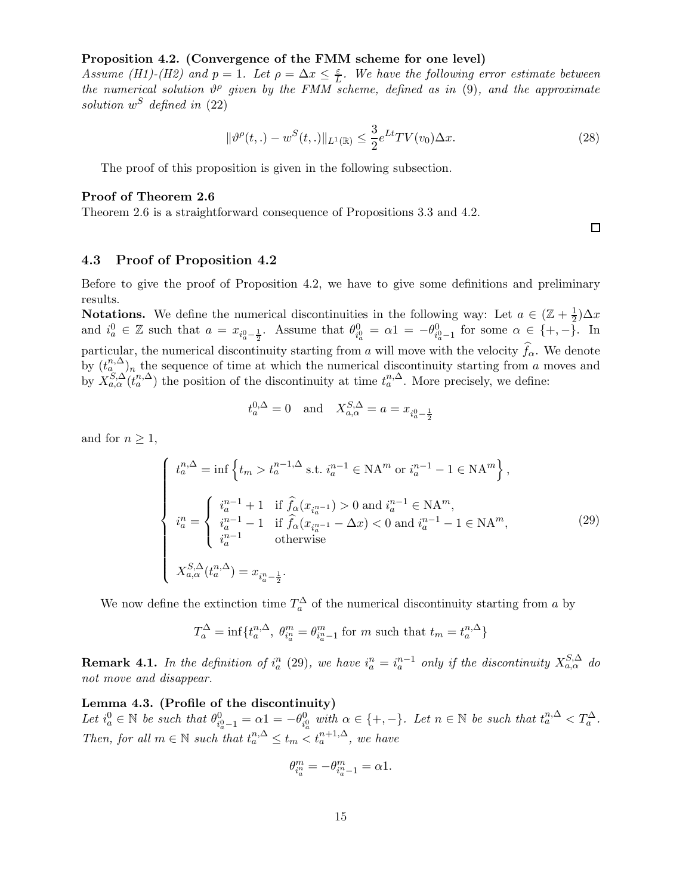#### Proposition 4.2. (Convergence of the FMM scheme for one level)

Assume (H1)-(H2) and  $p = 1$ . Let  $\rho = \Delta x \leq \frac{\varepsilon}{L}$ . We have the following error estimate between the numerical solution  $\vartheta^{\rho}$  given by the FMM scheme, defined as in (9), and the approximate solution  $w^S$  defined in (22)

$$
\|\vartheta^{\rho}(t,.) - w^{S}(t,.)\|_{L^{1}(\mathbb{R})} \leq \frac{3}{2} e^{Lt} TV(v_{0}) \Delta x.
$$
\n(28)

The proof of this proposition is given in the following subsection.

#### Proof of Theorem 2.6

Theorem 2.6 is a straightforward consequence of Propositions 3.3 and 4.2.

# 4.3 Proof of Proposition 4.2

Before to give the proof of Proposition 4.2, we have to give some definitions and preliminary results.

**Notations.** We define the numerical discontinuities in the following way: Let  $a \in (\mathbb{Z} + \frac{1}{2})$  $\frac{1}{2}$ ) $\Delta x$ and  $i_a^0 \in \mathbb{Z}$  such that  $a = x_{i_a^0 - \frac{1}{2}}$ . Assume that  $\theta_{i_a^0}^0 = \alpha_1 = -\theta_{i_a^0 - 1}^0$  for some  $\alpha \in \{+, -\}$ . In particular, the numerical discontinuity starting from a will move with the velocity  $f_{\alpha}$ . We denote by  $(t_n^{n,\Delta})_n$  the sequence of time at which the numerical discontinuity starting from a moves and by  $X_{a,\alpha}^{S,\Delta}(t_a^{n,\Delta})$  the position of the discontinuity at time  $t_a^{n,\Delta}$ . More precisely, we define:

$$
t_a^{0,\Delta} = 0
$$
 and  $X_{a,\alpha}^{S,\Delta} = a = x_{i_a^0 - \frac{1}{2}}$ 

and for  $n \geq 1$ ,

$$
\begin{cases}\nt_a^{n,\Delta} = \inf \left\{ t_m > t_a^{n-1,\Delta} \text{ s.t. } i_a^{n-1} \in \mathbb{N} \mathcal{A}^m \text{ or } i_a^{n-1} - 1 \in \mathbb{N} \mathcal{A}^m \right\}, \\
i_a^n = \begin{cases}\ni_a^{n-1} + 1 & \text{if } \hat{f}_\alpha(x_{i_a^{n-1}}) > 0 \text{ and } i_a^{n-1} \in \mathbb{N} \mathcal{A}^m, \\
i_a^{n-1} - 1 & \text{if } \hat{f}_\alpha(x_{i_a^{n-1}} - \Delta x) < 0 \text{ and } i_a^{n-1} - 1 \in \mathbb{N} \mathcal{A}^m, \\
i_a^{n-1} & \text{otherwise}\n\end{cases} (29)
$$
\n
$$
X_{a,\alpha}^{S,\Delta}(t_a^{n,\Delta}) = x_{i_a^{n}-\frac{1}{2}}.\n\end{cases}
$$

We now define the extinction time  $T_a^{\Delta}$  of the numerical discontinuity starting from a by

$$
T_a^{\Delta} = \inf \{ t_a^{n,\Delta}, \ \theta_{i_a^n}^m = \theta_{i_a^n-1}^m \text{ for } m \text{ such that } t_m = t_a^{n,\Delta} \}
$$

**Remark 4.1.** In the definition of  $i_a^n$  (29), we have  $i_a^n = i_a^{n-1}$  only if the discontinuity  $X_{a,\alpha}^{S,\Delta}$  do not move and disappear.

Lemma 4.3. (Profile of the discontinuity) Let  $i_a^0 \in \mathbb{N}$  be such that  $\theta_{i_a^0-1}^0 = \alpha_1 = -\theta_{i_a^0}^0$  with  $\alpha \in \{+, -\}$ . Let  $n \in \mathbb{N}$  be such that  $t_a^{n,\Delta} < T_a^{\Delta}$ . Then, for all  $m \in \mathbb{N}$  such that  $t_a^{n,\Delta} \leq t_m < t_a^{n+1,\Delta}$ , we have

$$
\theta_{i_a^n}^m=-\theta_{i_a^n-1}^m=\alpha 1.
$$

 $\Box$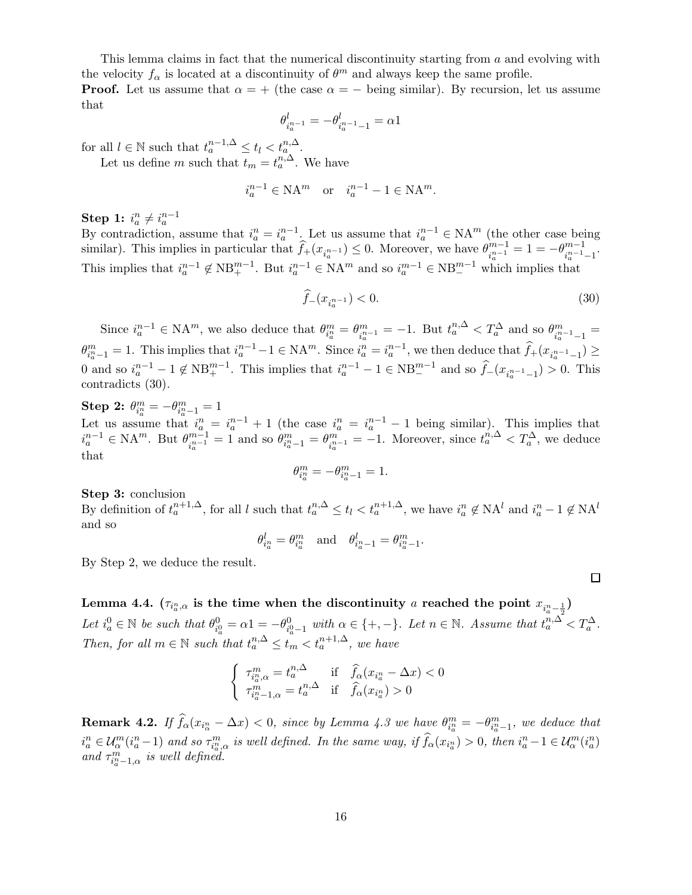This lemma claims in fact that the numerical discontinuity starting from a and evolving with the velocity  $f_{\alpha}$  is located at a discontinuity of  $\theta^m$  and always keep the same profile. **Proof.** Let us assume that  $\alpha = +$  (the case  $\alpha = -$  being similar). By recursion, let us assume that

$$
\theta^l_{i_a^{n-1}}=-\theta^l_{i_a^{n-1}-1}=\alpha 1
$$

for all  $l \in \mathbb{N}$  such that  $t_a^{n-1,\Delta} \leq t_l < t_a^{n,\Delta}$ .

Let us define m such that  $t_m = t_a^{n,\Delta}$ . We have

$$
i_a^{n-1} \in \mathbf{NA}^m \quad \text{or} \quad i_a^{n-1} - 1 \in \mathbf{NA}^m.
$$

Step 1:  $i_a^n \neq i_a^{n-1}$ 

By contradiction, assume that  $i_a^n = i_a^{n-1}$ . Let us assume that  $i_a^{n-1} \in NA^m$  (the other case being similar). This implies in particular that  $\widehat{f}_+(x_{i_a^{n-1}}) \leq 0$ . Moreover, we have  $\theta_{i_a^{n-1}}^{m-1}$  $\frac{m-1}{i_a^{n-1}}=1=-\theta^{m-1}_{i_a^{n-1}}$  $\frac{m-1}{i_a^{n-1}-1}$ . This implies that  $i_a^{n-1} \notin NB^{m-1}_+$ . But  $i_a^{n-1} \in NA^m$  and so  $i_a^{m-1} \in NB^{m-1}_-$  which implies that

$$
\widehat{f}_{-}(x_{i_a^{n-1}}) < 0. \tag{30}
$$

 $\Box$ 

Since  $i_a^{n-1} \in \mathbb{N} \mathcal{A}^m$ , we also deduce that  $\theta_{i_a^n}^m = \theta_{i_a^n}^m$  $\frac{m}{n_a^{n-1}} = -1.$  But  $t_a^{n,\Delta} < T_a^{\Delta}$  and so  $\theta_{i_a^n}^m$  $\frac{m}{i_a^{n-1}-1} =$  $\theta_{i_a^n-1}^m = 1$ . This implies that  $i_a^{n-1}-1 \in \mathbb{N} \mathcal{A}^m$ . Since  $i_a^n = i_a^{n-1}$ , we then deduce that  $\widehat{f}_+(x_{i_a^{n-1}-1}) \geq$ 0 and so  $i_a^{n-1} - 1 \notin NB^{m-1}_+$ . This implies that  $i_a^{n-1} - 1 \in NB^{m-1}_-$  and so  $\hat{f}_-(x_{i_a^{n-1}-1} > 0$ . This contradicts (30).

Step 2:  $\theta_{i_a^n}^m = -\theta_{i_a^n-1}^m = 1$ Let us assume that  $i_a^n = i_a^{n-1} + 1$  (the case  $i_a^n = i_a^{n-1} - 1$  being similar). This implies that  $i_a^{n-1} \in \mathbb{N} \mathcal{A}^m$ . But  $\theta_{i_a^{n-1}}^{m-1}$  $\frac{m-1}{i_a^{n-1}} = 1$  and so  $\theta_{i_a^n-1}^m = \theta_{i_a^n}^m$  $\sum_{i_a^{n-1}}^{\infty}$  = -1. Moreover, since  $t_a^{n,\Delta} < T_a^{\Delta}$ , we deduce that

$$
\theta_{i_a^n}^m=-\theta_{i_a^n-1}^m=1.
$$

Step 3: conclusion

By definition of  $t_a^{n+1,\Delta}$ , for all l such that  $t_a^{n,\Delta} \le t_l < t_a^{n+1,\Delta}$ , we have  $i_a^n \notin NA^l$  and  $i_a^n - 1 \notin NA^l$ and so

$$
\theta_{i_a^n}^l = \theta_{i_a^n}^m \quad \text{and} \quad \theta_{i_a^n-1}^l = \theta_{i_a^n-1}^m.
$$

By Step 2, we deduce the result.

Lemma 4.4.  $(\tau_{i^n_a,\alpha}$  is the time when the discontinuity  $a$  reached the point  $x_{i^n_a-\frac{1}{2}})$ Let  $i_a^0 \in \mathbb{N}$  be such that  $\theta_{i_a^0}^0 = \alpha_1 = -\theta_{i_a^0 - 1}^0$  with  $\alpha \in \{+, -\}$ . Let  $n \in \mathbb{N}$ . Assume that  $t_a^{n,\Delta} < T_a^{\Delta}$ . Then, for all  $m \in \mathbb{N}$  such that  $t_a^{n,\Delta} \leq t_m < t_a^{n+1,\Delta}$ , we have

$$
\left\{\begin{array}{ll} \tau^m_{i^{\alpha}_{\alpha},\alpha}=t^{n,\Delta}_a & \text{if} \quad \widehat{f}_\alpha(x_{i^{\alpha}_{a}}-\Delta x)<0 \\ \tau^m_{i^{\alpha}_{a}-1,\alpha}=t^{n,\Delta}_a & \text{if} \quad \widehat{f}_\alpha(x_{i^{\alpha}_{a}})>0 \end{array}\right.
$$

**Remark 4.2.** If  $\hat{f}_{\alpha}(x_{i_{\alpha}} - \Delta x) < 0$ , since by Lemma 4.3 we have  $\theta_{i_{\alpha}}^{m} = -\theta_{i_{\alpha}^{n}-1}^{m}$ , we deduce that  $i_a^n \in \mathcal{U}_\alpha^m(i_a^n-1)$  and so  $\tau_{i_a^n,\alpha}^m$  is well defined. In the same way, if  $\widehat{f}_\alpha(x_{i_a^n}) > 0$ , then  $i_a^n-1 \in \mathcal{U}_\alpha^m(i_a^n)$ and  $\tau^m_{i^n_a-1,\alpha}$  is well defined.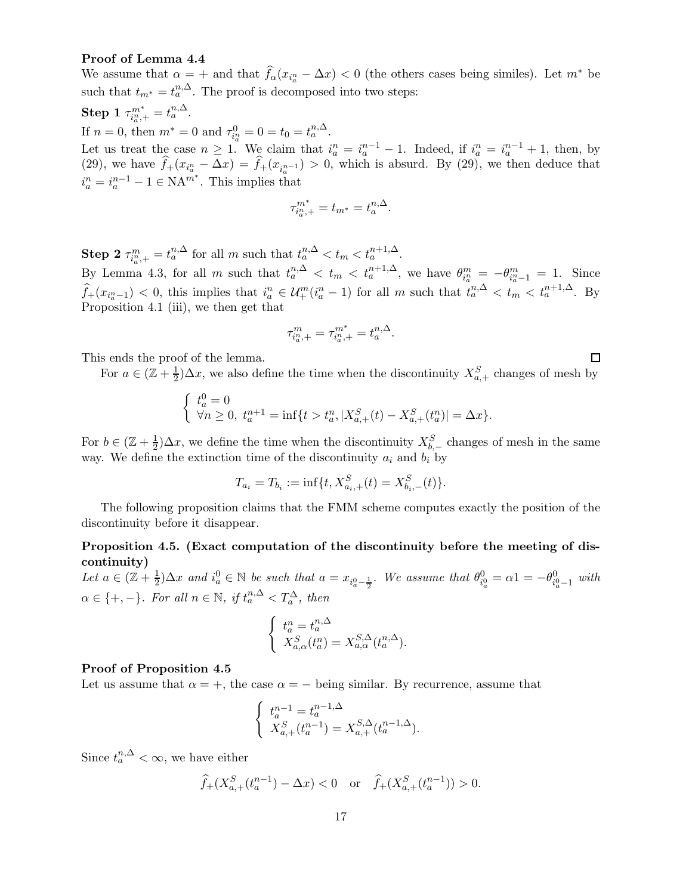### Proof of Lemma 4.4

We assume that  $\alpha = +$  and that  $\widehat{f}_{\alpha}(x_{i_a^n} - \Delta x) < 0$  (the others cases being similes). Let  $m^*$  be such that  $t_{m^*} = t_a^{n,\Delta}$ . The proof is decomposed into two steps:  $\textbf{Step 1} \; \tau_{i^n_a,+}^{m^*} = t^{n,\Delta}_a.$ If  $n = 0$ , then  $m^* = 0$  and  $\tau_{i_a^n}^0 = 0 = t_0 = t_a^{n,\Delta}$ . Let us treat the case  $n \geq 1$ . We claim that  $i_a^n = i_a^{n-1} - 1$ . Indeed, if  $i_a^n = i_a^{n-1} + 1$ , then, by (29), we have  $f_+(x_{i_a^n}-\Delta x)=f_+(x_{i_a^{n-1}})>0$ , which is absurd. By (29), we then deduce that  $i_a^n = i_a^{n-1} - 1 \in \text{NA}^{m^*}$ . This implies that

$$
\tau^{m^*}_{i^n_a,+}=t_{m^*}=t^{n,\Delta}_a.
$$

**Step 2**  $\tau_{i_n^m,+}^m = t_a^{n,\Delta}$  for all m such that  $t_a^{n,\Delta} < t_m < t_a^{n+1,\Delta}$ . a By Lemma 4.3, for all m such that  $t_a^{n,\Delta} < t_m < t_a^{n+1,\Delta}$ , we have  $\theta_{i_a^n}^m = -\theta_{i_a^n-1}^m = 1$ . Since  $\widehat{f}_+(x_{i_a-1}) < 0$ , this implies that  $i_a^n \in \mathcal{U}_+^m(i_a^n-1)$  for all m such that  $t_a^{n,\Delta} < t_m < t_a^{n+1,\Delta}$ . By Proposition 4.1 (iii), we then get that

$$
\tau^m_{i^n_a,+}=\tau^{m^*}_{i^n_a,+}=t^{n,\Delta}_a.
$$

This ends the proof of the lemma.

For  $a \in (\mathbb{Z} + \frac{1}{2})$  $\frac{1}{2}$ ) $\Delta x$ , we also define the time when the discontinuity  $X_{a,+}^S$  changes of mesh by

 $\Box$ 

$$
\left\{\begin{array}{l} t^0_a=0\\ \forall n\geq 0,\ t^{n+1}_a=\inf\{t>t^n_a,|X^S_{a,+}(t)-X^S_{a,+}(t^n_a)|=\Delta x\}.\end{array}\right.
$$

For  $b \in (\mathbb{Z} + \frac{1}{2})$  $\frac{1}{2}$ ) $\Delta x$ , we define the time when the discontinuity  $X_{b,-}^S$  changes of mesh in the same way. We define the extinction time of the discontinuity  $a_i$  and  $b_i$  by

$$
T_{a_i} = T_{b_i} := \inf\{t, X_{a_i,+}^S(t) = X_{b_i,-}^S(t)\}.
$$

The following proposition claims that the FMM scheme computes exactly the position of the discontinuity before it disappear.

# Proposition 4.5. (Exact computation of the discontinuity before the meeting of discontinuity)

Let  $a \in (\mathbb{Z} + \frac{1}{2})$  $\frac{1}{2}$ ) $\Delta x$  and  $i_a^0 \in \mathbb{N}$  be such that  $a = x_{i_a^0 - \frac{1}{2}}$ . We assume that  $\theta_{i_a^0}^0 = \alpha 1 = -\theta_{i_a^0 - 1}^0$  with  $\alpha \in \{+, -\}.$  For all  $n \in \mathbb{N}$ , if  $t_a^{n,\Delta} < T_a^{\Delta}$ , then

$$
\begin{cases}\nt_a^n = t_a^{n,\Delta} \\
X_{a,\alpha}^S(t_a^n) = X_{a,\alpha}^{S,\Delta}(t_a^{n,\Delta}).\n\end{cases}
$$

### Proof of Proposition 4.5

Let us assume that  $\alpha = +$ , the case  $\alpha = -$  being similar. By recurrence, assume that

$$
\begin{cases} t_a^{n-1} = t_a^{n-1,\Delta} \\ X_{a,+}^S(t_a^{n-1}) = X_{a,+}^{S,\Delta}(t_a^{n-1,\Delta}). \end{cases}
$$

Since  $t_a^{n,\Delta} < \infty$ , we have either

$$
\widehat{f}_+(X_{a,+}^S(t_a^{n-1})-\Delta x)<0
$$
 or  $\widehat{f}_+(X_{a,+}^S(t_a^{n-1}))>0.$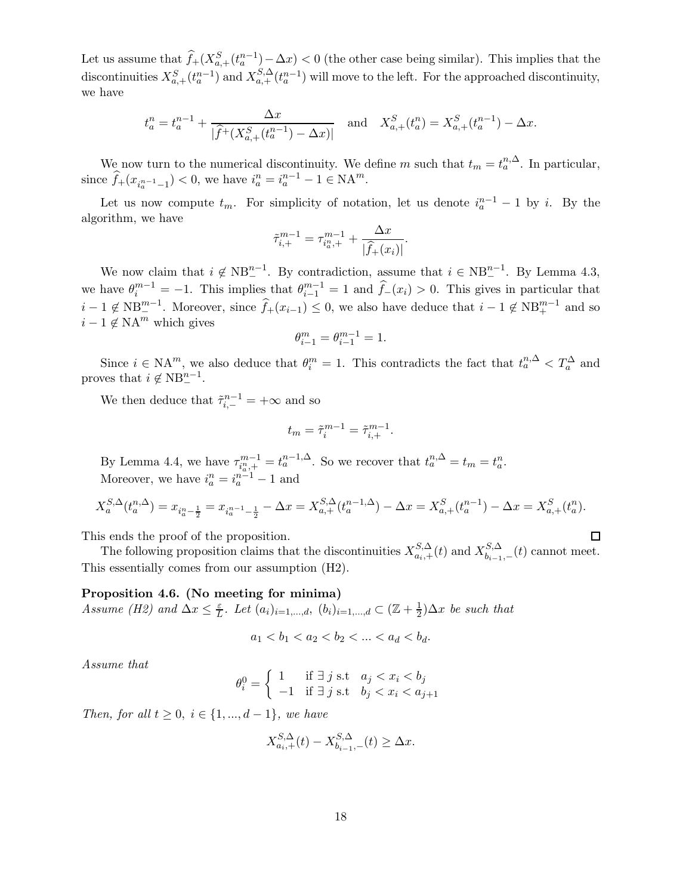Let us assume that  $\widehat{f}_+(X_{a,+}^S(t_a^{n-1})-\Delta x) < 0$  (the other case being similar). This implies that the discontinuities  $X_{a,+}^S(t_a^{n-1})$  and  $X_{a,+}^{S,\Delta}(t_a^{n-1})$  will move to the left. For the approached discontinuity, we have

$$
t_a^n = t_a^{n-1} + \frac{\Delta x}{|\widehat{f}^+(X_{a,+}^S(t_a^{n-1}) - \Delta x)|}
$$
 and  $X_{a,+}^S(t_a^n) = X_{a,+}^S(t_a^{n-1}) - \Delta x$ .

We now turn to the numerical discontinuity. We define m such that  $t_m = t_a^{n,\Delta}$ . In particular, since  $\hat{f}_+(x_{i_a^{n-1}-1}) < 0$ , we have  $i_a^n = i_a^{n-1} - 1 \in \mathbb{N} \mathcal{A}^m$ .

Let us now compute  $t_m$ . For simplicity of notation, let us denote  $i_a^{n-1} - 1$  by i. By the algorithm, we have

$$
\tilde{\tau}_{i,+}^{m-1} = \tau_{i_a^m,+}^{m-1} + \frac{\Delta x}{|\hat{f}_+(x_i)|}.
$$

We now claim that  $i \notin NB^{n-1}$ . By contradiction, assume that  $i \in NB^{n-1}$ . By Lemma 4.3, we have  $\theta_i^{m-1} = -1$ . This implies that  $\theta_{i-1}^{m-1} = 1$  and  $\hat{f}_-(x_i) > 0$ . This gives in particular that  $i-1 \notin NB^{m-1}_{-}$ . Moreover, since  $\widehat{f}_+(x_{i-1}) \leq 0$ , we also have deduce that  $i-1 \notin NB^{m-1}_{+}$  and so  $i - 1 \notin \mathbb{N}A^m$  which gives

$$
\theta_{i-1}^m = \theta_{i-1}^{m-1} = 1.
$$

Since  $i \in \mathbb{N}A^m$ , we also deduce that  $\theta_i^m = 1$ . This contradicts the fact that  $t_a^{n,\Delta} < T_a^{\Delta}$  and proves that  $i \notin NB^{n-1}_-$ .

We then deduce that  $\tilde{\tau}_{i,-}^{n-1} = +\infty$  and so

$$
t_m = \tilde{\tau}_i^{m-1} = \tilde{\tau}_{i,+}^{m-1}.
$$

By Lemma 4.4, we have  $\tau_{i_a}^{m-1} = t_a^{n-1,\Delta}$ . So we recover that  $t_a^{n,\Delta} = t_m = t_a^n$ . Moreover, we have  $i_a^n = i_a^{n-1} - 1$  and

$$
X_a^{S,\Delta}(t_a^{n,\Delta}) = x_{i_a^{n}-\frac{1}{2}} = x_{i_a^{n-1}-\frac{1}{2}} - \Delta x = X_{a,+}^{S,\Delta}(t_a^{n-1,\Delta}) - \Delta x = X_{a,+}^{S}(t_a^{n-1}) - \Delta x = X_{a,+}^{S}(t_a^{n}).
$$

 $\Box$ 

This ends the proof of the proposition.

The following proposition claims that the discontinuities  $X_{a_i,+}^{S,\Delta}(t)$  and  $X_{b_{i-1}}^{S,\Delta}$  $b_{i-1,-}(t)$  cannot meet. This essentially comes from our assumption (H2).

### Proposition 4.6. (No meeting for minima)

Assume (H2) and  $\Delta x \leq \frac{\varepsilon}{L}$  $\frac{\varepsilon}{L}$ . Let  $(a_i)_{i=1,\dots,d}$ ,  $(b_i)_{i=1,\dots,d} \subset (\mathbb{Z} + \frac{1}{2})$  $(\frac{1}{2})\Delta x$  be such that

$$
a_1 < b_1 < a_2 < b_2 < \ldots < a_d < b_d.
$$

Assume that

$$
\theta_i^0 = \left\{ \begin{array}{ll} 1 & \text{if } \exists j \text{ s.t} \quad a_j < x_i < b_j \\ -1 & \text{if } \exists j \text{ s.t} \quad b_j < x_i < a_{j+1} \end{array} \right.
$$

Then, for all  $t \ge 0$ ,  $i \in \{1, ..., d-1\}$ , we have

$$
X_{a_i,+}^{S,\Delta}(t) - X_{b_{i-1},-}^{S,\Delta}(t) \ge \Delta x.
$$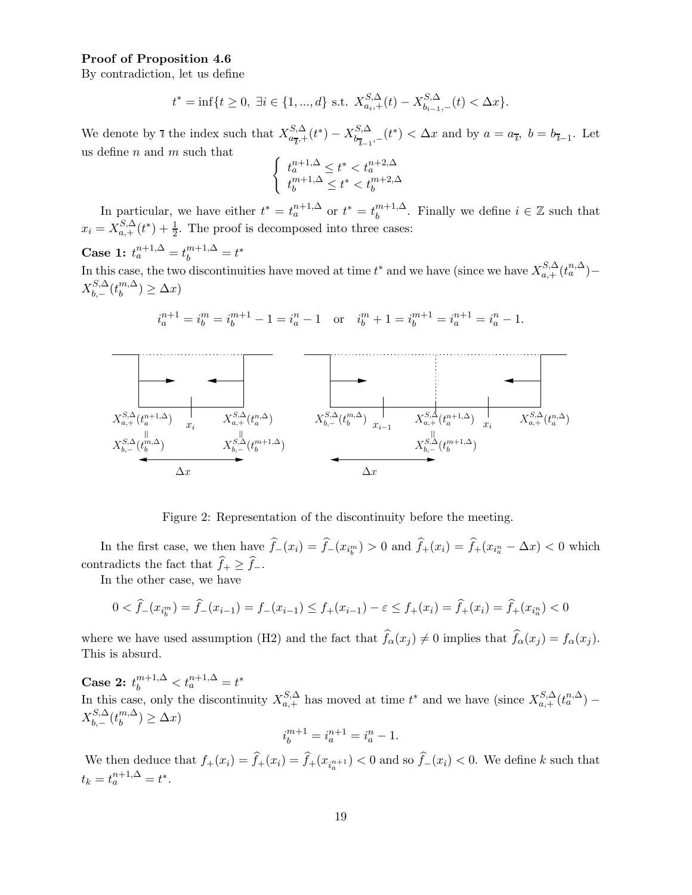### Proof of Proposition 4.6

By contradiction, let us define

$$
t^* = \inf\{t \ge 0, \ \exists i \in \{1, ..., d\} \ \text{s.t.} \ X_{a_i,+}^{S,\Delta}(t) - X_{b_{i-1},-}^{S,\Delta}(t) < \Delta x\}.
$$

We denote by  $\bar{\imath}$  the index such that  $X_{a\bar{\imath}}^{S,\Delta}$  $\frac{S,\Delta}{a_{\overline{l}},+}(t^*)-X_{b_{\overline{l}-1}}^{S,\Delta}$  $b_{\bar{b}_{l-1},-}^{S,\Delta}(t^*) < \Delta x$  and by  $a = a_{\bar{b}_{l}}, b = b_{\bar{b}_{l-1}}$ . Let us define  $n$  and  $m$  such that

$$
\left\{\begin{array}{l} t_{a}^{n+1,\Delta}\leq t^{\ast}
$$

In particular, we have either  $t^* = t_a^{n+1,\Delta}$  or  $t^* = t_b^{m+1,\Delta}$  $b^{m+1,\Delta}_{b}$ . Finally we define  $i \in \mathbb{Z}$  such that  $x_i = X_{a,+}^{S,\Delta}(t^*) + \frac{1}{2}$ . The proof is decomposed into three cases:

Case 1:  $t_a^{n+1,\Delta} = t_b^{m+1,\Delta} = t^*$ 

 $\cdot$ m

 $\cdot m+1$ 

In this case, the two discontinuities have moved at time  $t^*$  and we have (since we have  $X_{a,+}^{S,\Delta}(t_a^{n,\Delta})$  –  $X^{S,\Delta}_b$  $_{b,-}^{S,\Delta}(t_{b}^{m,\Delta}% t_{b}^{m,\Delta}(t_{b}^{m,\Delta}(t_{b}^{m,\Delta}(t_{b}^{m,\Delta}(t_{b}^{m,\Delta}(t_{b}^{m,\Delta}(t_{b}^{m,\Delta}(t_{b}^{m,\Delta}(t_{b}^{m,\Delta}(t_{b}^{m,\Delta}(t_{b}^{m,\Delta}(t_{b}^{m,\Delta}(t_{b}^{m,\Delta}(t_{b}^{m,\Delta}(t_{b}^{m,\Delta}(t_{b}^{m,\Delta}(t_{b}^{m,\Delta}(t_{b}^{m,\Delta}(t_{b}^{m,\Delta}(t_{b}^{m,\Delta}(t_{b}^{m,\Delta}(t_{b}^{m,\Delta}(t_{b$  $\binom{m,\Delta}{b} \geq \Delta x$ 

$$
i_a^{n+1} = i_b^m = i_b^{m+1} - 1 = i_a^n - 1
$$
 or  $i_b^m + 1 = i_b^{m+1} = i_a^{n+1} = i_a^n - 1$ .

 $\cdot^n$ 

 $\cdot$ n



Figure 2: Representation of the discontinuity before the meeting.

In the first case, we then have  $f_-(x_i) = f_-(x_i) > 0$  and  $f_+(x_i) = f_+(x_i) - \Delta x < 0$  which contradicts the fact that  $\widehat{f}_+ \geq \widehat{f}_-.$ 

In the other case, we have

$$
0 < \hat{f}_-(x_{i_0^m}) = \hat{f}_-(x_{i-1}) = f_-(x_{i-1}) \le f_+(x_{i-1}) - \varepsilon \le f_+(x_i) = \hat{f}_+(x_i) = \hat{f}_+(x_{i_0}^n) < 0
$$

where we have used assumption (H2) and the fact that  $f_{\alpha}(x_j) \neq 0$  implies that  $f_{\alpha}(x_j) = f_{\alpha}(x_j)$ . This is absurd.

Case 2:  $t_b^{m+1,\Delta} < t_a^{n+1,\Delta} = t^*$ In this case, only the discontinuity  $X_{a,+}^{S,\Delta}$  has moved at time  $t^*$  and we have (since  $X_{a,+}^{S,\Delta}(t_a^{n,\Delta})$  –  $X^{S,\Delta}_{b}$  $_{b,-}^{S,\Delta}(t_{b}^{m,\Delta}% t_{b}^{m,\Delta}(t_{b}^{m,\Delta}% t_{b}^{m,\Delta}(t_{b}^{m,\Delta}(t_{b}^{m,\Delta}(t_{b}^{m,\Delta}(t_{b}^{m,\Delta}(t_{b}^{m,\Delta}(t_{b}^{m,\Delta}(t_{b}^{m,\Delta}(t_{b}^{m,\Delta}(t_{b}^{m,\Delta}(t_{b}^{m,\Delta}(t_{b}^{m,\Delta}(t_{b}^{m,\Delta}(t_{b}^{m,\Delta}(t_{b}^{m,\Delta}(t_{b}^{m,\Delta}(t_{b}^{m,\Delta}(t_{b}^{m,\Delta}(t_{b}^{m,\Delta}(t_{b}^{m,\Delta}(t_{b$  $\binom{m,\Delta}{b} \geq \Delta x$  $i_b^{m+1} = i_a^{n+1} = i_a^n - 1.$ 

We then deduce that  $f_+(x_i) = f_+(x_i) = f_+(x_{i_a^{n+1}}) < 0$  and so  $f_-(x_i) < 0$ . We define k such that  $t_k = t_a^{n+1,\Delta} = t^*.$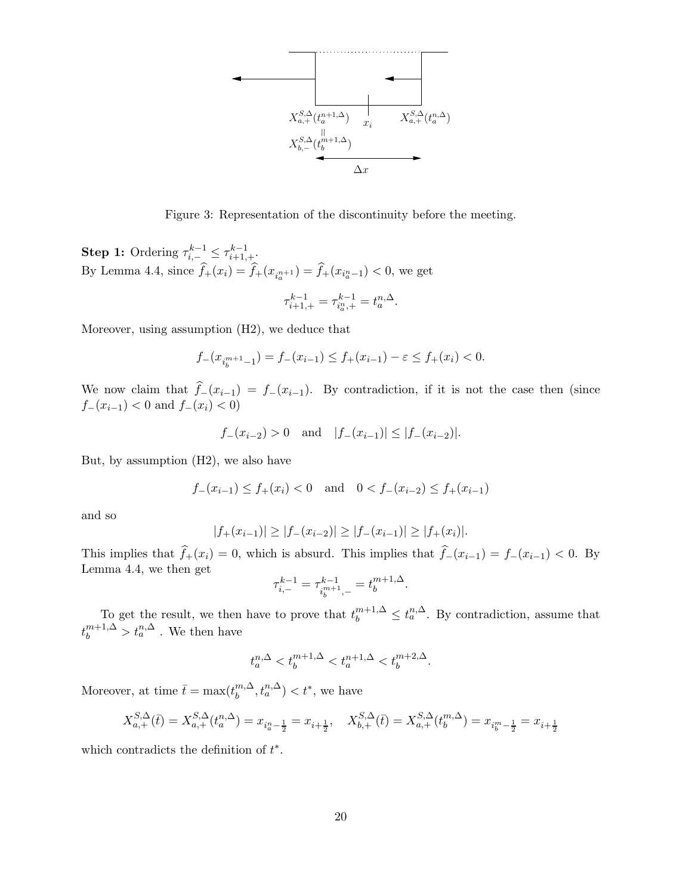

Figure 3: Representation of the discontinuity before the meeting.

**Step 1:** Ordering  $\tau_{i,-}^{k-1} \leq \tau_{i+1,+}^{k-1}$ . By Lemma 4.4, since  $f_+(x_i) = f_+(x_{i_a^{n+1}}) = f_+(x_{i_a^{n-1}}) < 0$ , we get

$$
\tau_{i+1,+}^{k-1} = \tau_{i_a,+}^{k-1} = t_a^{n,\Delta}.
$$

Moreover, using assumption (H2), we deduce that

$$
f_{-}(x_{i_{b}^{m+1}-1})=f_{-}(x_{i-1})\leq f_{+}(x_{i-1})-\varepsilon\leq f_{+}(x_{i})<0.
$$

We now claim that  $f_-(x_{i-1}) = f_-(x_{i-1})$ . By contradiction, if it is not the case then (since  $f_-(x_{i-1}) < 0$  and  $f_-(x_i) < 0$ 

$$
f_{-}(x_{i-2}) > 0
$$
 and  $|f_{-}(x_{i-1})| \leq |f_{-}(x_{i-2})|$ .

But, by assumption (H2), we also have

$$
f_-(x_{i-1}) \le f_+(x_i) < 0
$$
 and  $0 < f_-(x_{i-2}) \le f_+(x_{i-1})$ 

and so

$$
|f_+(x_{i-1})| \ge |f_-(x_{i-2})| \ge |f_-(x_{i-1})| \ge |f_+(x_i)|.
$$

This implies that  $f_+(x_i) = 0$ , which is absurd. This implies that  $f_-(x_{i-1}) = f_-(x_{i-1}) < 0$ . By Lemma 4.4, we then get

$$
\tau^{k-1}_{i,-}=\tau^{k-1}_{i_b^{m+1},-}=t_b^{m+1,\Delta}.
$$

To get the result, we then have to prove that  $t_b^{m+1,\Delta} \leq t_a^{n,\Delta}$ . By contradiction, assume that  $t_b^{m+1,\Delta} > t_a^{n,\Delta}$ . We then have

$$
t^{n,\Delta}_a < t^{m+1,\Delta}_b < t^{n+1,\Delta}_a < t^{m+2,\Delta}_b.
$$

Moreover, at time  $\bar{t} = \max(t_b^{m,\Delta})$  $\binom{m,\Delta}{b}, t_a^{n,\Delta}$   $< t^*$ , we have

$$
X_{a,+}^{S,\Delta}(\bar{t}) = X_{a,+}^{S,\Delta}(t_a^{n,\Delta}) = x_{i_a^m - \frac{1}{2}} = x_{i+\frac{1}{2}}, \quad X_{b,+}^{S,\Delta}(\bar{t}) = X_{a,+}^{S,\Delta}(t_b^{m,\Delta}) = x_{i_b^m - \frac{1}{2}} = x_{i+\frac{1}{2}}
$$

which contradicts the definition of  $t^*$ .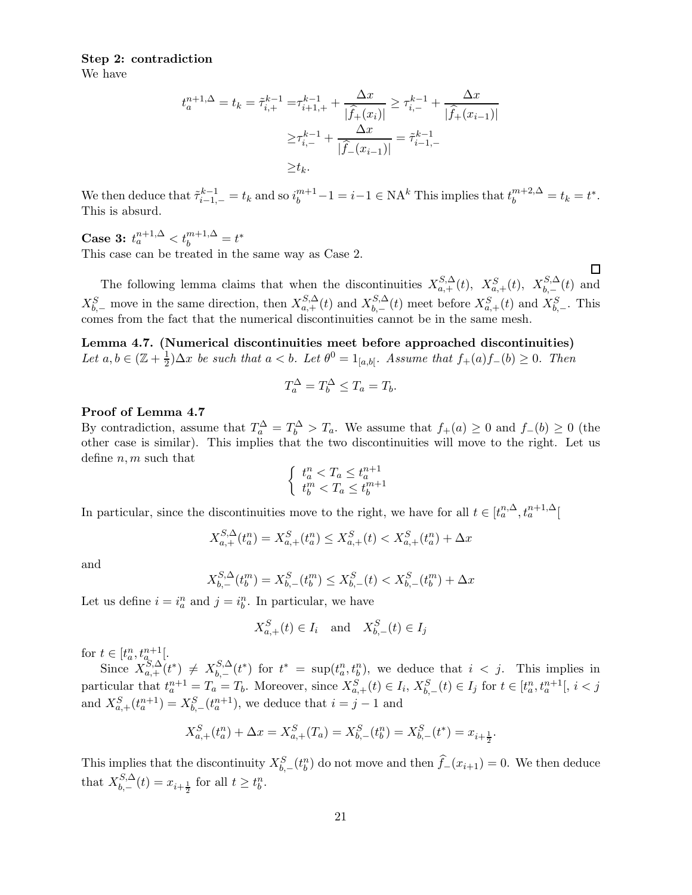# Step 2: contradiction

We have

$$
t_a^{n+1,\Delta} = t_k = \tilde{\tau}_{i,+}^{k-1} = \tau_{i+1,+}^{k-1} + \frac{\Delta x}{|\hat{f}_+(x_i)|} \ge \tau_{i,-}^{k-1} + \frac{\Delta x}{|\hat{f}_+(x_{i-1})|}
$$

$$
\ge \tau_{i,-}^{k-1} + \frac{\Delta x}{|\hat{f}_-(x_{i-1})|} = \tilde{\tau}_{i-1,-}^{k-1}
$$

$$
\ge t_k.
$$

We then deduce that  $\tilde{\tau}_{i-1,-}^{k-1} = t_k$  and so  $i_b^{m+1} - 1 = i - 1 \in \text{NA}^k$  This implies that  $t_b^{m+2,\Delta} = t_k = t^*$ . This is absurd.

Case 3:  $t_a^{n+1,\Delta} < t_b^{m+1,\Delta} = t^*$ This case can be treated in the same way as Case 2.

The following lemma claims that when the discontinuities  $X_{a,+}^{S,\Delta}(t)$ ,  $X_{a,+}^{S} (t)$ ,  $X_{b,-}^{S,\Delta}(t)$  and  $X_{b,-}^S$  move in the same direction, then  $X_{a,+}^{S,\Delta}(t)$  and  $X_{b,-}^{S,\Delta}$  $_{b,-}^{S,\Delta}(t)$  meet before  $X_{a,+}^{S}(t)$  and  $X_{b,-}^{S}$ . This comes from the fact that the numerical discontinuities cannot be in the same mesh.

 $\Box$ 

Lemma 4.7. (Numerical discontinuities meet before approached discontinuities) Let  $a, b \in (\mathbb{Z} + \frac{1}{2})$  $\frac{1}{2}$ ) $\Delta x$  be such that  $a < b$ . Let  $\theta^0 = 1_{[a,b[}$ . Assume that  $f_+(a)f_-(b) \geq 0$ . Then

$$
T_a^{\Delta} = T_b^{\Delta} \le T_a = T_b.
$$

#### Proof of Lemma 4.7

By contradiction, assume that  $T_a^{\Delta} = T_b^{\Delta} > T_a$ . We assume that  $f_+(a) \geq 0$  and  $f_-(b) \geq 0$  (the other case is similar). This implies that the two discontinuities will move to the right. Let us define  $n, m$  such that

$$
\begin{cases} t_a^n < T_a \leq t_a^{n+1} \\ t_b^m < T_a \leq t_b^{m+1} \end{cases}
$$

In particular, since the discontinuities move to the right, we have for all  $t \in [t_a^{n,\Delta}, t_a^{n+1,\Delta}]$ 

$$
X_{a,+}^{S,\Delta}(t_a^n) = X_{a,+}^S(t_a^n) \le X_{a,+}^S(t) < X_{a,+}^S(t_a^n) + \Delta x
$$

and

$$
X_{b,-}^{S,\Delta}(t_b^m) = X_{b,-}^S(t_b^m) \le X_{b,-}^S(t) < X_{b,-}^S(t_b^m) + \Delta x
$$

Let us define  $i = i_a^n$  and  $j = i_b^n$ . In particular, we have

$$
X_{a,+}^S(t) \in I_i \quad \text{and} \quad X_{b,-}^S(t) \in I_j
$$

for  $t \in [t_{a}^{n}, t_{a_{c}}^{n+1}].$ 

Since  $X_{a,+}^{S,\Delta}(t^*) \neq X_{b,-}^{S,\Delta}$  $b_{b,-}^{S,\Delta}(t^*)$  for  $t^* = \sup(t_a^n, t_b^n)$ , we deduce that  $i < j$ . This implies in particular that  $t_a^{n+1} = T_a = T_b$ . Moreover, since  $X_{a,+}^S(t) \in I_i$ ,  $X_{b,-}^S(t) \in I_j$  for  $t \in [t_a^n, t_a^{n+1}], i < j$  $n+1 = T = T$ , Moreover since  $X^S$  (*t*)  $\in I$ .  $X^S$  (*t*)  $\in I$  for  $t \in [t^n]$ and  $X_{a,+}^{S}(t_{a}^{n+1}) = X_{b,-}^{S}(t_{a}^{n+1})$ , we deduce that  $i = j - 1$  and

$$
X_{a,+}^{S}(t_{a}^{n}) + \Delta x = X_{a,+}^{S}(T_{a}) = X_{b,-}^{S}(t_{b}^{n}) = X_{b,-}^{S}(t^{*}) = x_{i+\frac{1}{2}}.
$$

This implies that the discontinuity  $X_{b,-}^S(t_b^n)$  do not move and then  $\hat{f}_-(x_{i+1})=0$ . We then deduce that  $X_{h-}^{S,\Delta}$  $b_{b,-}^{S,\Delta}(t) = x_{i+\frac{1}{2}}$  for all  $t \geq t_b^n$ .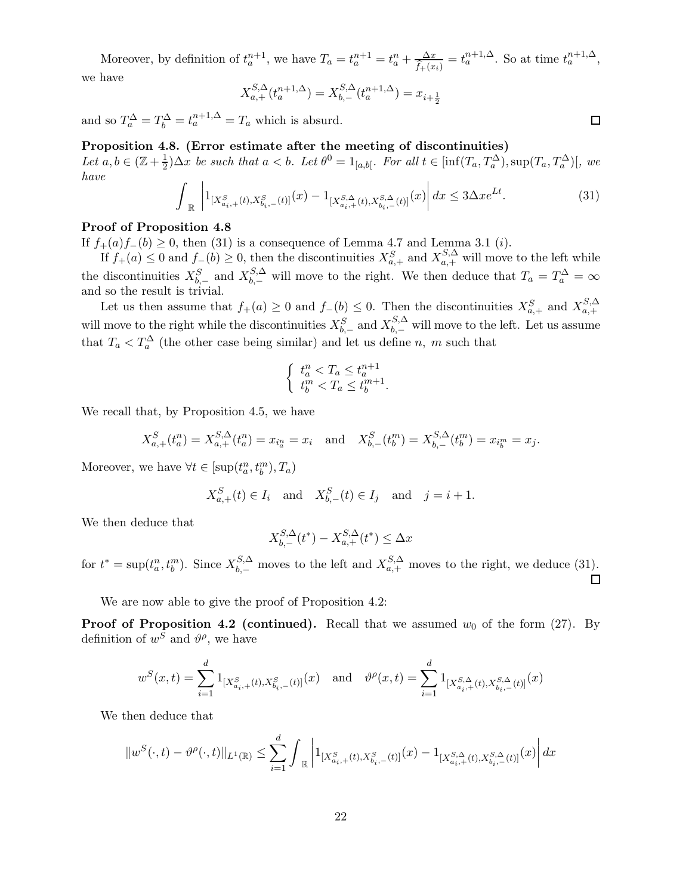Moreover, by definition of  $t_a^{n+1}$ , we have  $T_a = t_a^{n+1} = t_a^n + \frac{\Delta x}{\hat{f}_+(x_i)} = t_a^{n+1,\Delta}$ . So at time  $t_a^{n+1,\Delta}$ , we have

$$
X_{a,+}^{S,\Delta}(t_a^{n+1,\Delta}) = X_{b,-}^{S,\Delta}(t_a^{n+1,\Delta}) = x_{i+\frac{1}{2}}
$$

and so  $T_a^{\Delta} = T_b^{\Delta} = t_a^{n+1,\Delta} = T_a$  which is absurd.

# Proposition 4.8. (Error estimate after the meeting of discontinuities)

Let  $a, b \in (\mathbb{Z} + \frac{1}{2})$  $\frac{1}{2}$ ) $\Delta x$  be such that  $a < b$ . Let  $\theta^0 = 1_{[a,b[}$ . For all  $t \in [\inf(T_a, T_a^{\Delta}), \sup(T_a, T_a^{\Delta})]$ , we have

$$
\int_{\mathbb{R}} \left| 1_{[X_{a_{i},+}^{S}(t), X_{b_{i},-}^{S}(t)]}(x) - 1_{[X_{a_{i},+}^{S,\Delta}(t), X_{b_{i},-}^{S,\Delta}(t)]}(x) \right| dx \le 3\Delta x e^{Lt}.
$$
\n(31)

### Proof of Proposition 4.8

If  $f_+(a) f_-(b) \geq 0$ , then (31) is a consequence of Lemma 4.7 and Lemma 3.1 (*i*).

If  $f_+(a) \leq 0$  and  $f_-(b) \geq 0$ , then the discontinuities  $X_{a,+}^S$  and  $X_{a,+}^{S,\Delta}$  will move to the left while the discontinuities  $X_{b,-}^S$  and  $X_{b,-}^{S,\Delta}$  will move to the right. We then deduce that  $T_a = T_a^{\Delta} = \infty$ and so the result is trivial.

Let us then assume that  $f_+(a) \geq 0$  and  $f_-(b) \leq 0$ . Then the discontinuities  $X_{a,+}^S$  and  $X_{a,+}^{S,\Delta}$  $a, +$ will move to the right while the discontinuities  $X_{b,-}^S$  and  $X_{b,-}^{S,\Delta}$  will move to the left. Let us assume that  $T_a < T_a^{\Delta}$  (the other case being similar) and let us define n, m such that

$$
\begin{cases} t_a^n < T_a \le t_a^{n+1} \\ t_b^m < T_a \le t_b^{m+1} \end{cases}
$$

We recall that, by Proposition 4.5, we have

$$
X_{a,+}^{S}(t_{a}^{n}) = X_{a,+}^{S,\Delta}(t_{a}^{n}) = x_{i_{a}^{n}} = x_{i} \text{ and } X_{b,-}^{S}(t_{b}^{m}) = X_{b,-}^{S,\Delta}(t_{b}^{m}) = x_{i_{b}^{m}} = x_{j}.
$$

Moreover, we have  $\forall t \in [\sup(t^n_a, t^m_b), T_a)$ 

$$
X_{a,+}^{S}(t) \in I_i
$$
 and  $X_{b,-}^{S}(t) \in I_j$  and  $j = i + 1$ .

We then deduce that

$$
X^{S,\Delta}_{b,-}(t^*)-X^{S,\Delta}_{a,+}(t^*)\leq \Delta x
$$

for  $t^* = \sup(t_a^n, t_b^m)$ . Since  $X_{b,-}^{S,\Delta}$  moves to the left and  $X_{a,+}^{S,\Delta}$  moves to the right, we deduce (31).  $\Box$ 

We are now able to give the proof of Proposition 4.2:

**Proof of Proposition 4.2 (continued).** Recall that we assumed  $w_0$  of the form (27). By definition of  $w^S$  and  $\vartheta^{\rho}$ , we have

$$
w^{S}(x,t) = \sum_{i=1}^{d} 1_{[X^{S}_{a_i,+}(t),X^{S}_{b_i,-}(t)]}(x) \text{ and } \vartheta^{\rho}(x,t) = \sum_{i=1}^{d} 1_{[X^{S,\Delta}_{a_i,+}(t),X^{S,\Delta}_{b_i,-}(t)]}(x)
$$

We then deduce that

$$
\|w^S(\cdot,t)-\vartheta^\rho(\cdot,t)\|_{L^1(\mathbb{R})}\leq \sum_{i=1}^d\int_{\mathbb{R}}\left|1_{[X^S_{a_i,+}(t),X^S_{b_i,-}(t)]}(x)-1_{[X^{S,\Delta}_{a_i,+}(t),X^{S,\Delta}_{b_i,-}(t)]}(x)\right|dx
$$

 $\Box$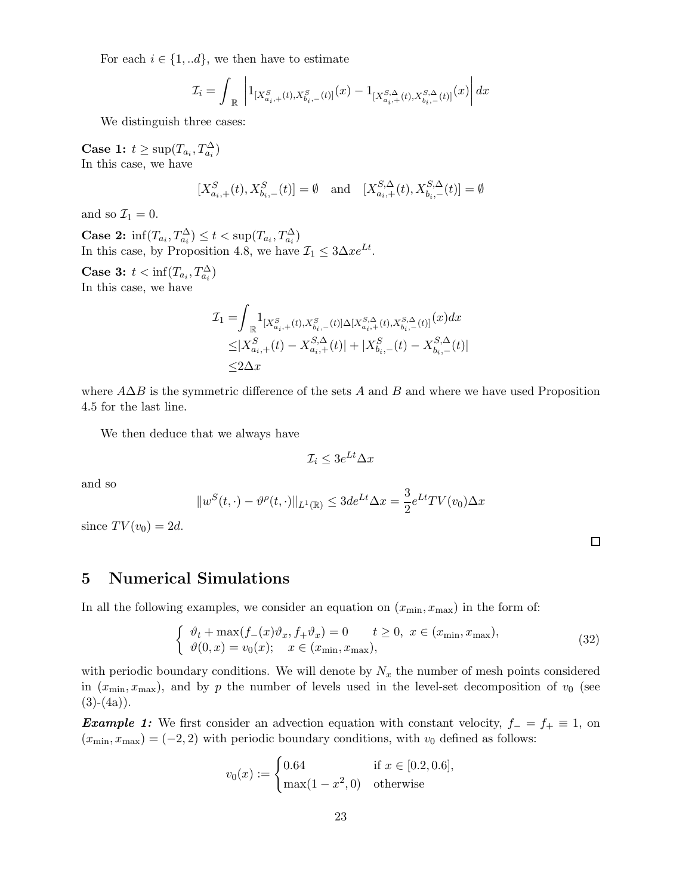For each  $i \in \{1, ...d\}$ , we then have to estimate

$$
\mathcal{I}_i=\int_{\ \mathbb R}\ \left|1_{\left[X^S_{a_i,+}(t),X^S_{b_i,-}(t)\right]}(x)-1_{\left[X^S_{a_i,+}(t),X^S_{b_i,-}(t)\right]}(x)\right|dx
$$

We distinguish three cases:

Case 1:  $t \ge \sup(T_{a_i}, T_{a_i}^{\Delta})$ In this case, we have

$$
[X_{a_i,+}^S(t), X_{b_i,-}^S(t)] = \emptyset \text{ and } [X_{a_i,+}^{S,\Delta}(t), X_{b_i,-}^{S,\Delta}(t)] = \emptyset
$$

and so  $\mathcal{I}_1 = 0$ .

Case 2:  $\inf(T_{a_i}, T_{a_i}^{\Delta}) \leq t < \sup(T_{a_i}, T_{a_i}^{\Delta})$ In this case, by Proposition 4.8, we have  $\mathcal{I}_1 \leq 3\Delta x e^{Lt}$ .

Case 3:  $t < \inf(T_{a_i}, T_{a_i}^{\Delta})$ In this case, we have

$$
\begin{aligned} \mathcal{I}_1 = & \int_{\mathbb{R}} \! 1_{[X^S_{a_i,+}(t), X^S_{b_i,-}(t)] \Delta [X^{S,\Delta}_{a_i,+}(t), X^{S,\Delta}_{b_i,-}(t)]} (x) dx \\ \leq & |X^S_{a_i,+}(t) - X^{S,\Delta}_{a_i,+}(t)| + |X^S_{b_i,-}(t) - X^{S,\Delta}_{b_i,-}(t)| \\ \leq & 2 \Delta x \end{aligned}
$$

where  $A\Delta B$  is the symmetric difference of the sets A and B and where we have used Proposition 4.5 for the last line.

We then deduce that we always have

$$
\mathcal{I}_i \le 3e^{Lt}\Delta x
$$

and so

$$
||w^{S}(t,\cdot)-\vartheta^{\rho}(t,\cdot)||_{L^{1}(\mathbb{R})}\leq 3de^{Lt}\Delta x=\frac{3}{2}e^{Lt}TV(v_{0})\Delta x
$$

since  $TV(v_0) = 2d$ .

# 5 Numerical Simulations

In all the following examples, we consider an equation on  $(x_{\min}, x_{\max})$  in the form of:

$$
\begin{cases}\n\vartheta_t + \max(f_-(x)\vartheta_x, f_+\vartheta_x) = 0 & t \ge 0, \ x \in (x_{\min}, x_{\max}), \\
\vartheta(0, x) = v_0(x); \quad x \in (x_{\min}, x_{\max}),\n\end{cases}
$$
\n(32)

with periodic boundary conditions. We will denote by  $N_x$  the number of mesh points considered in  $(x_{\min}, x_{\max})$ , and by p the number of levels used in the level-set decomposition of  $v_0$  (see  $(3)-(4a)$ .

**Example 1:** We first consider an advection equation with constant velocity,  $f_ - = f_ + \equiv 1$ , on  $(x_{\min}, x_{\max}) = (-2, 2)$  with periodic boundary conditions, with  $v_0$  defined as follows:

$$
v_0(x) := \begin{cases} 0.64 & \text{if } x \in [0.2, 0.6], \\ \max(1 - x^2, 0) & \text{otherwise} \end{cases}
$$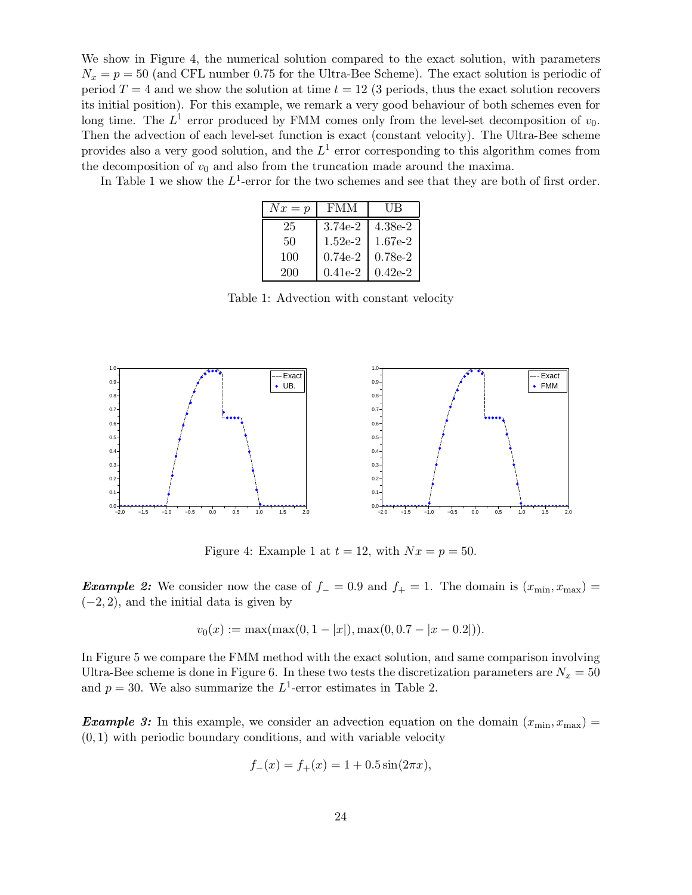We show in Figure 4, the numerical solution compared to the exact solution, with parameters  $N_x = p = 50$  (and CFL number 0.75 for the Ultra-Bee Scheme). The exact solution is periodic of period  $T = 4$  and we show the solution at time  $t = 12$  (3 periods, thus the exact solution recovers its initial position). For this example, we remark a very good behaviour of both schemes even for long time. The  $L^1$  error produced by FMM comes only from the level-set decomposition of  $v_0$ . Then the advection of each level-set function is exact (constant velocity). The Ultra-Bee scheme provides also a very good solution, and the  $L^1$  error corresponding to this algorithm comes from the decomposition of  $v_0$  and also from the truncation made around the maxima.

In Table 1 we show the  $L^1$ -error for the two schemes and see that they are both of first order.

| $Nx = p$ | <b>FMM</b> | UB        |
|----------|------------|-----------|
| 25       | $3.74e-2$  | $4.38e-2$ |
| 50       | $1.52e-2$  | $1.67e-2$ |
| 100      | $0.74e-2$  | $0.78e-2$ |
| 200      | $0.41e-2$  | $0.42e-2$ |

Table 1: Advection with constant velocity



Figure 4: Example 1 at  $t = 12$ , with  $Nx = p = 50$ .

**Example 2:** We consider now the case of  $f = 0.9$  and  $f_{+} = 1$ . The domain is  $(x_{\min}, x_{\max}) =$  $(-2, 2)$ , and the initial data is given by

$$
v_0(x) := \max(\max(0, 1 - |x|), \max(0, 0.7 - |x - 0.2|)).
$$

In Figure 5 we compare the FMM method with the exact solution, and same comparison involving Ultra-Bee scheme is done in Figure 6. In these two tests the discretization parameters are  $N_x = 50$ and  $p = 30$ . We also summarize the  $L^1$ -error estimates in Table 2.

**Example 3:** In this example, we consider an advection equation on the domain  $(x_{\min}, x_{\max}) =$  $(0, 1)$  with periodic boundary conditions, and with variable velocity

$$
f_{-}(x) = f_{+}(x) = 1 + 0.5\sin(2\pi x),
$$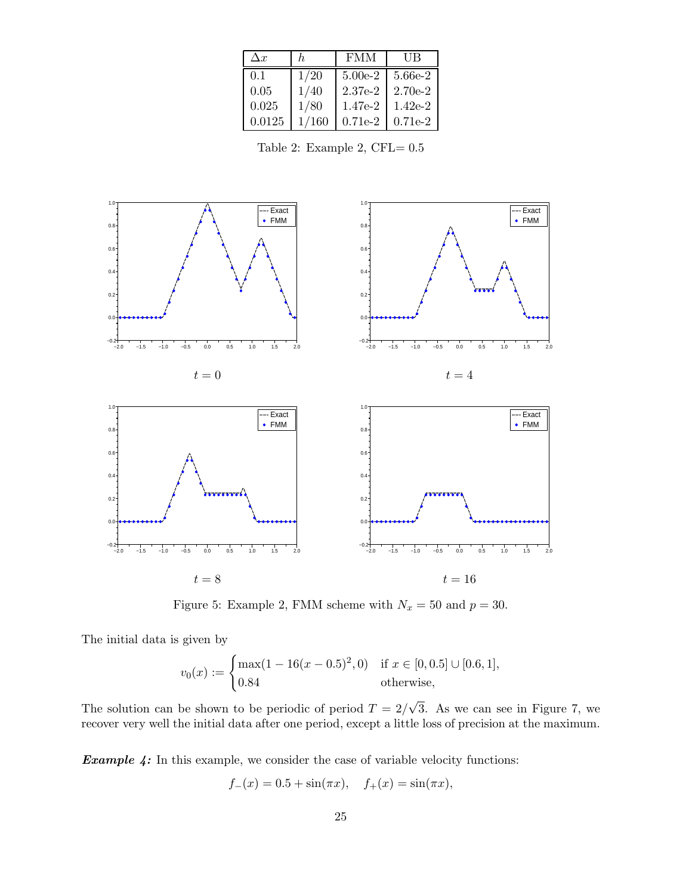| $\Delta x$ | h.    | <b>FMM</b> | UВ        |
|------------|-------|------------|-----------|
| 0.1        | 1/20  | $5.00e-2$  | 5.66e-2   |
| 0.05       | 1/40  | $2.37e-2$  | $2.70e-2$ |
| 0.025      | 1/80  | 1.47e-2    | $1.42e-2$ |
| 0.0125     | 1/160 | $0.71e-2$  | $0.71e-2$ |

Table 2: Example 2, CFL= 0.5



Figure 5: Example 2, FMM scheme with  $N_x = 50$  and  $p = 30$ .

The initial data is given by

$$
v_0(x) := \begin{cases} \max(1 - 16(x - 0.5)^2, 0) & \text{if } x \in [0, 0.5] \cup [0.6, 1], \\ 0.84 & \text{otherwise,} \end{cases}
$$

The solution can be shown to be periodic of period  $T = 2/\sqrt{3}$ . As we can see in Figure 7, we recover very well the initial data after one period, except a little loss of precision at the maximum.

Example 4: In this example, we consider the case of variable velocity functions:

$$
f_{-}(x) = 0.5 + \sin(\pi x), \quad f_{+}(x) = \sin(\pi x),
$$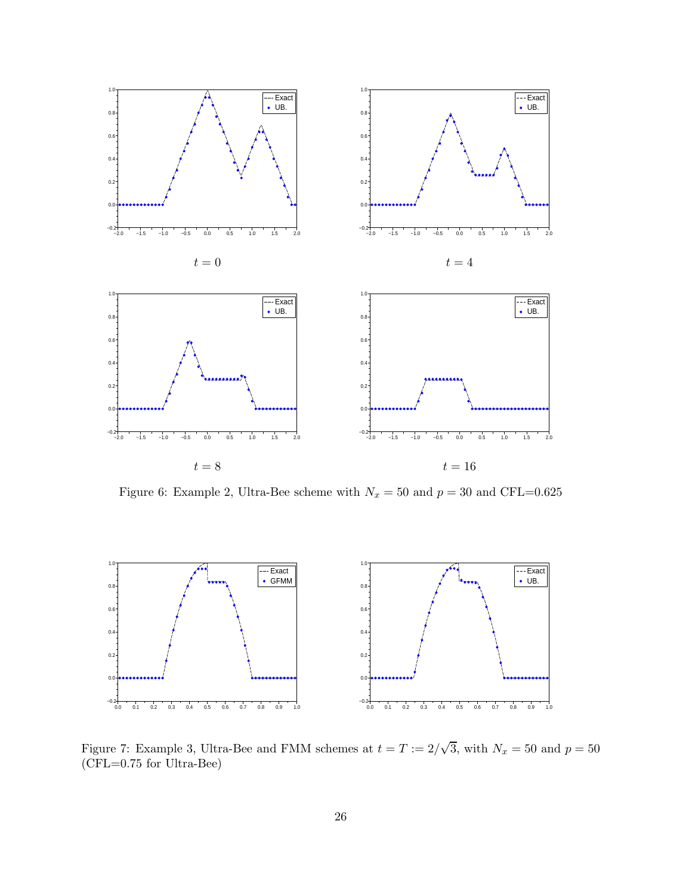

Figure 6: Example 2, Ultra-Bee scheme with  $N_x = 50$  and  $p = 30$  and CFL=0.625



Figure 7: Example 3, Ultra-Bee and FMM schemes at  $t = T := 2/\sqrt{3}$ , with  $N_x = 50$  and  $p = 50$ (CFL=0.75 for Ultra-Bee)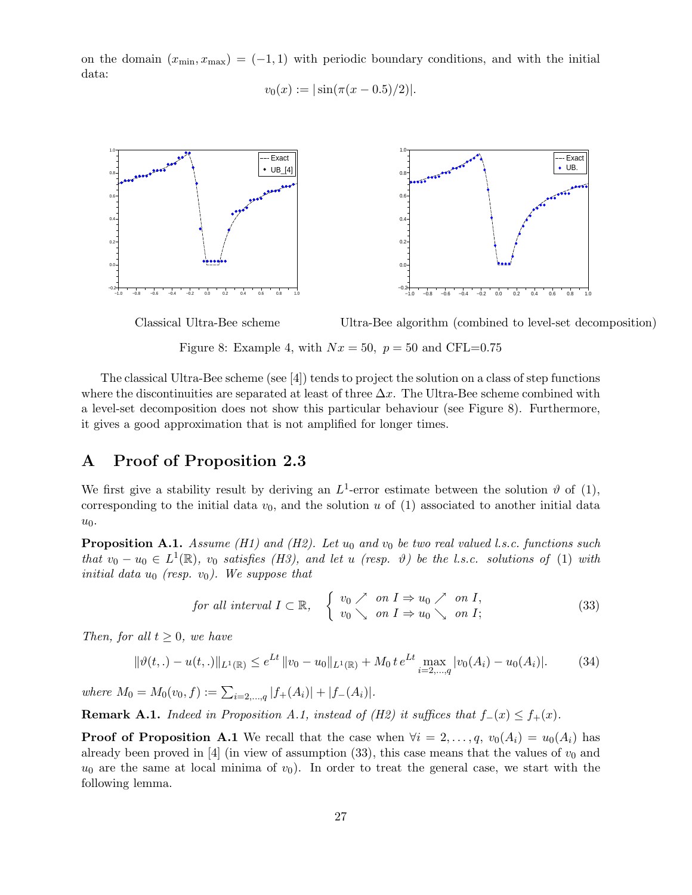on the domain  $(x_{\min}, x_{\max}) = (-1, 1)$  with periodic boundary conditions, and with the initial data:

 $v_0(x) := |\sin(\pi(x-0.5)/2)|.$ 



Classical Ultra-Bee scheme Ultra-Bee algorithm (combined to level-set decomposition) Figure 8: Example 4, with  $Nx = 50$ ,  $p = 50$  and CFL=0.75

The classical Ultra-Bee scheme (see [4]) tends to project the solution on a class of step functions where the discontinuities are separated at least of three  $\Delta x$ . The Ultra-Bee scheme combined with a level-set decomposition does not show this particular behaviour (see Figure 8). Furthermore, it gives a good approximation that is not amplified for longer times.

# A Proof of Proposition 2.3

We first give a stability result by deriving an  $L^1$ -error estimate between the solution  $\vartheta$  of (1), corresponding to the initial data  $v_0$ , and the solution u of (1) associated to another initial data  $u_0$ .

**Proposition A.1.** Assume (H1) and (H2). Let  $u_0$  and  $v_0$  be two real valued l.s.c. functions such that  $v_0 - u_0 \in L^1(\mathbb{R})$ ,  $v_0$  satisfies (H3), and let u (resp.  $\vartheta$ ) be the l.s.c. solutions of (1) with initial data  $u_0$  (resp.  $v_0$ ). We suppose that

for all interval 
$$
I \subset \mathbb{R}
$$
,  $\begin{cases} v_0 \nearrow on I \Rightarrow u_0 \nearrow on I, \\ v_0 \searrow on I \Rightarrow u_0 \searrow on I; \end{cases}$  (33)

Then, for all  $t \geq 0$ , we have

$$
\|\vartheta(t,.) - u(t,.)\|_{L^1(\mathbb{R})} \le e^{Lt} \|v_0 - u_0\|_{L^1(\mathbb{R})} + M_0 t e^{Lt} \max_{i=2,\dots,q} |v_0(A_i) - u_0(A_i)|. \tag{34}
$$

where  $M_0 = M_0(v_0, f) := \sum_{i=2,\dots,q} |f_+(A_i)| + |f_-(A_i)|$ .

**Remark A.1.** Indeed in Proposition A.1, instead of (H2) it suffices that  $f_-(x) \le f_+(x)$ .

**Proof of Proposition A.1** We recall that the case when  $\forall i = 2, \ldots, q$ ,  $v_0(A_i) = u_0(A_i)$  has already been proved in [4] (in view of assumption (33), this case means that the values of  $v_0$  and  $u_0$  are the same at local minima of  $v_0$ ). In order to treat the general case, we start with the following lemma.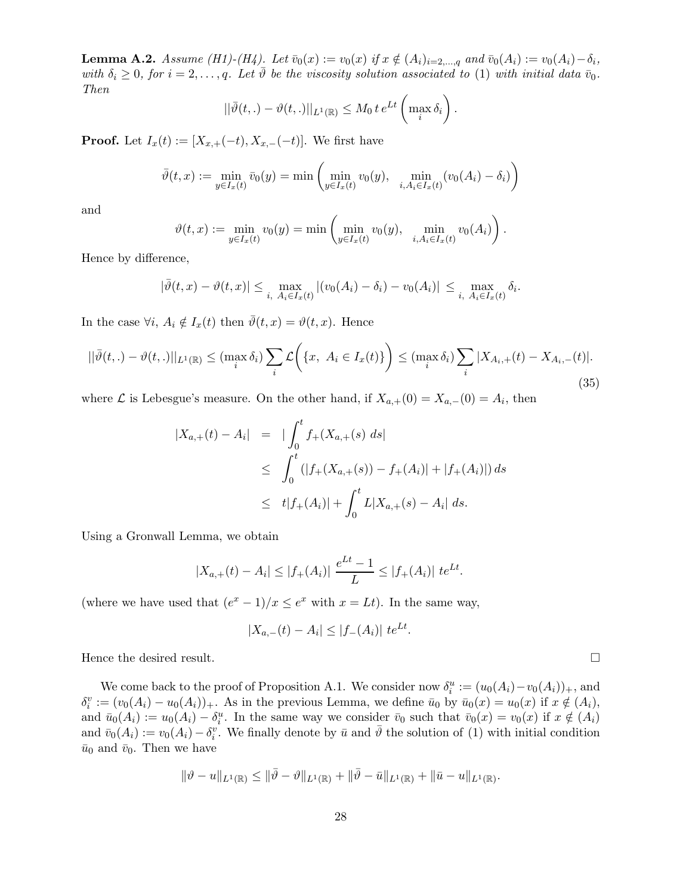**Lemma A.2.** Assume (H1)-(H4). Let  $\bar{v}_0(x) := v_0(x)$  if  $x \notin (A_i)_{i=2,...,q}$  and  $\bar{v}_0(A_i) := v_0(A_i) - \delta_i$ , with  $\delta_i \geq 0$ , for  $i = 2, \ldots, q$ . Let  $\bar{\vartheta}$  be the viscosity solution associated to (1) with initial data  $\bar{v}_0$ . Then

$$
||\bar{\vartheta}(t,.) - \vartheta(t,.)||_{L^1(\mathbb{R})} \le M_0 t e^{Lt} \left( \max_i \delta_i \right).
$$

**Proof.** Let  $I_x(t) := [X_{x,+}(-t), X_{x,-}(-t)]$ . We first have

$$
\bar{\vartheta}(t,x) := \min_{y \in I_x(t)} \bar{v}_0(y) = \min \left( \min_{y \in I_x(t)} v_0(y), \min_{i, A_i \in I_x(t)} (v_0(A_i) - \delta_i) \right)
$$

and

$$
\vartheta(t,x) := \min_{y \in I_x(t)} v_0(y) = \min \left( \min_{y \in I_x(t)} v_0(y), \min_{i, A_i \in I_x(t)} v_0(A_i) \right).
$$

Hence by difference,

$$
|\bar{\vartheta}(t,x)-\vartheta(t,x)| \leq \max_{i, A_i \in I_x(t)} |(v_0(A_i)-\delta_i)-v_0(A_i)| \leq \max_{i, A_i \in I_x(t)} \delta_i.
$$

In the case  $\forall i, A_i \notin I_x(t)$  then  $\overline{\vartheta}(t, x) = \vartheta(t, x)$ . Hence

$$
||\bar{\vartheta}(t,.) - \vartheta(t,.)||_{L^{1}(\mathbb{R})} \leq (\max_{i} \delta_{i}) \sum_{i} \mathcal{L}\left(\{x, \ A_{i} \in I_{x}(t)\}\right) \leq (\max_{i} \delta_{i}) \sum_{i} |X_{A_{i},+}(t) - X_{A_{i},-}(t)|.
$$
\n(35)

where  $\mathcal L$  is Lebesgue's measure. On the other hand, if  $X_{a,+}(0) = X_{a,-}(0) = A_i$ , then

$$
\begin{aligned} |X_{a,+}(t) - A_i| &= | \int_0^t f_+(X_{a,+}(s) \, ds | \\ &\leq \int_0^t (|f_+(X_{a,+}(s)) - f_+(A_i)| + |f_+(A_i)|) \, ds \\ &\leq \ t |f_+(A_i)| + \int_0^t L |X_{a,+}(s) - A_i| \, ds. \end{aligned}
$$

Using a Gronwall Lemma, we obtain

$$
|X_{a,+}(t) - A_i| \le |f_+(A_i)| \frac{e^{Lt} - 1}{L} \le |f_+(A_i)| \ te^{Lt}.
$$

(where we have used that  $(e^x - 1)/x \le e^x$  with  $x = Lt$ ). In the same way,

$$
|X_{a,-}(t) - A_i| \le |f_{-}(A_i)| \ te^{Lt}.
$$

Hence the desired result.  $\Box$ 

We come back to the proof of Proposition A.1. We consider now  $\delta_i^u := (u_0(A_i) - v_0(A_i))_+$ , and  $\delta_i^v := (v_0(A_i) - u_0(A_i))_+$ . As in the previous Lemma, we define  $\bar{u}_0$  by  $\bar{u}_0(x) = u_0(x)$  if  $x \notin (A_i)$ , and  $\bar{u}_0(A_i) := u_0(A_i) - \delta_i^u$ . In the same way we consider  $\bar{v}_0$  such that  $\bar{v}_0(x) = v_0(x)$  if  $x \notin (A_i)$ and  $\bar{v}_0(A_i) := v_0(A_i) - \delta_i^v$ . We finally denote by  $\bar{u}$  and  $\bar{\vartheta}$  the solution of (1) with initial condition  $\bar{u}_0$  and  $\bar{v}_0$ . Then we have

$$
\|\vartheta-u\|_{L^1(\mathbb{R})}\leq \|\bar{\vartheta}-\vartheta\|_{L^1(\mathbb{R})}+\|\bar{\vartheta}-\bar{u}\|_{L^1(\mathbb{R})}+\|\bar{u}-u\|_{L^1(\mathbb{R})}.
$$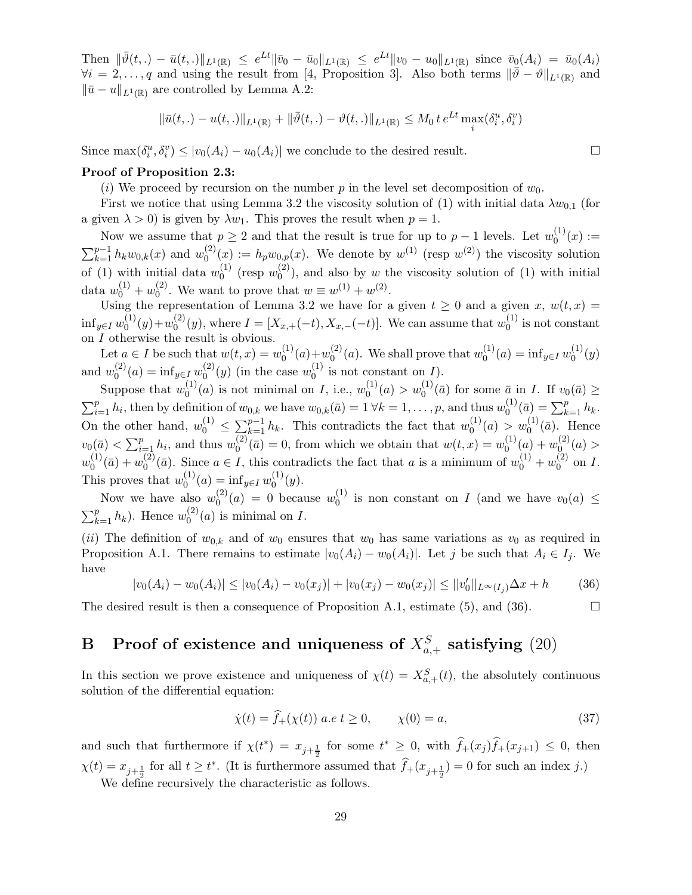Then  $\|\bar{\vartheta}(t,.) - \bar{u}(t,.)\|_{L^1(\mathbb{R})} \leq e^{Lt} \|\bar{v}_0 - \bar{u}_0\|_{L^1(\mathbb{R})} \leq e^{Lt} \|v_0 - u_0\|_{L^1(\mathbb{R})}$  since  $\bar{v}_0(A_i) = \bar{u}_0(A_i)$  $\forall i = 2,\ldots,q$  and using the result from [4, Proposition 3]. Also both terms  $\|\bar{\vartheta} - \vartheta\|_{L^1(\mathbb{R})}$  and  $\|\bar{u} - u\|_{L^1(\mathbb{R})}$  are controlled by Lemma A.2:

$$
\|\bar{u}(t,.) - u(t,.)\|_{L^1(\mathbb{R})} + \|\bar{\vartheta}(t,.) - \vartheta(t,.)\|_{L^1(\mathbb{R})} \le M_0 t e^{Lt} \max_i(\delta_i^u, \delta_i^v)
$$

Since  $\max(\delta_i^u, \delta_i^v) \le |v_0(A_i) - u_0(A_i)|$  we conclude to the desired result.

#### Proof of Proposition 2.3:

(i) We proceed by recursion on the number p in the level set decomposition of  $w_0$ .

First we notice that using Lemma 3.2 the viscosity solution of (1) with initial data  $\lambda w_{0,1}$  (for a given  $\lambda > 0$ ) is given by  $\lambda w_1$ . This proves the result when  $p = 1$ .

Now we assume that  $p \geq 2$  and that the result is true for up to  $p-1$  levels. Let  $w_0^{(1)}$  $0^{(1)}(x) :=$  $\sum_{k=1}^{p-1} h_k w_{0,k}(x)$  and  $w_0^{(2)}$  $\binom{2}{0}(x) := h_p w_{0,p}(x)$ . We denote by  $w^{(1)}$  (resp  $w^{(2)}$ ) the viscosity solution of (1) with initial data  $w_0^{(1)}$  $_{0}^{(1)}$  (resp  $w_{0}^{(2)}$  $\binom{1}{0}$ , and also by w the viscosity solution of (1) with initial data  $w_0^{(1)} + w_0^{(2)}$  $v_0^{(2)}$ . We want to prove that  $w \equiv w^{(1)} + w^{(2)}$ .

Using the representation of Lemma 3.2 we have for a given  $t \geq 0$  and a given x,  $w(t, x) =$  $\inf_{y\in I} w_0^{(1)}$  $y_0^{(1)}(y)+w_0^{(2)}$  $\chi_0^{(2)}(y)$ , where  $I = [X_{x,+}(-t), X_{x,-}(-t)]$ . We can assume that  $w_0^{(1)}$  $\binom{1}{0}$  is not constant on  $\cal I$  otherwise the result is obvious.

Let  $a \in I$  be such that  $w(t, x) = w_0^{(1)}$  $\binom{1}{0}(a)+w_0^{(2)}$  $\binom{2}{0}(a)$ . We shall prove that  $w_0^{(1)}$  $_{0}^{(1)}(a) = \inf_{y \in I} w_0^{(1)}$  $_{0}^{(1)}(y)$ and  $w_0^{(2)}$  $f_0^{(2)}(a) = \inf_{y \in I} w_0^{(2)}$  $_{0}^{(2)}(y)$  (in the case  $w_0^{(1)}$ )  $\int_0^{(1)}$  is not constant on  $I$ ).

Suppose that  $w_0^{(1)}$  $\binom{1}{0}(a)$  is not minimal on *I*, i.e.,  $w_0^{(1)}$  $v_0^{(1)}(a) > w_0^{(1)}(\bar{a})$  for some  $\bar{a}$  in *I*. If  $v_0(\bar{a}) \ge$  $\sum_{i=1}^p h_i$ , then by definition of  $w_{0,k}$  we have  $w_{0,k}(\bar{a}) = 1 \forall k = 1, \ldots, p$ , and thus  $w_0^{(1)}$  $\binom{1}{0}$  (*a*) =  $\sum_{k=1}^{p} h_k$ . On the other hand,  $w_0^{(1)} \le \sum_{k=1}^{p-1} h_k$ . This contradicts the fact that  $w_0^{(1)}$  $w_0^{(1)}(a) > w_0^{(1)}(\bar{a})$ . Hence  $v_0(\bar{a}) < \sum_{i=1}^p h_i$ , and thus  $w_0^{(2)}$  $\binom{2}{0}$  (*a*) = 0, from which we obtain that  $w(t, x) = w_0^{(1)}$  $\binom{10}{} (a) + w_0^{(2)}$  $\binom{2}{0}(a) >$  $w_0^{(1)}$  $\binom{1}{0}$  (*a*) +  $w_0^{(2)}$  $\binom{2}{0}$  ( $\bar{a}$ ). Since  $a \in I$ , this contradicts the fact that a is a minimum of  $w_0^{(1)} + w_0^{(2)}$  $\int_0^{(2)}$  on I. This proves that  $w_0^{(1)}$  $\mathcal{L}_0^{(1)}(a) = \inf_{y \in I} w_0^{(1)}$  $_{0}^{(1)}(y).$ 

Now we have also  $w_0^{(2)}$  $y_0^{(2)}(a) = 0$  because  $w_0^{(1)}$  $\binom{1}{0}$  is non constant on I (and we have  $v_0(a) \leq$  $\sum_{k=1}^{p} h_k$ ). Hence  $w_0^{(2)}$  $\int_0^{(2)} (a)$  is minimal on I.

(ii) The definition of  $w_{0,k}$  and of  $w_0$  ensures that  $w_0$  has same variations as  $v_0$  as required in Proposition A.1. There remains to estimate  $|v_0(A_i) - w_0(A_i)|$ . Let j be such that  $A_i \in I_i$ . We have

$$
|v_0(A_i) - w_0(A_i)| \le |v_0(A_i) - v_0(x_j)| + |v_0(x_j) - w_0(x_j)| \le ||v'_0||_{L^{\infty}(I_j)} \Delta x + h \tag{36}
$$

The desired result is then a consequence of Proposition A.1, estimate (5), and (36).

# B Proof of existence and uniqueness of  $X_{a,+}^S$  satisfying  $(20)$

In this section we prove existence and uniqueness of  $\chi(t) = X_{a,+}^S(t)$ , the absolutely continuous solution of the differential equation:

$$
\dot{\chi}(t) = \hat{f}_{+}(\chi(t)) \ a.e \ t \ge 0, \qquad \chi(0) = a,
$$
\n(37)

and such that furthermore if  $\chi(t^*) = x_{j+\frac{1}{2}}$  for some  $t^* \geq 0$ , with  $\hat{f}_+(x_j)\hat{f}_+(x_{j+1}) \leq 0$ , then  $\chi(t) = x_{j+\frac{1}{2}}$  for all  $t \geq t^*$ . (It is furthermore assumed that  $\hat{f}_+(x_{j+\frac{1}{2}}) = 0$  for such an index j.)

We define recursively the characteristic as follows.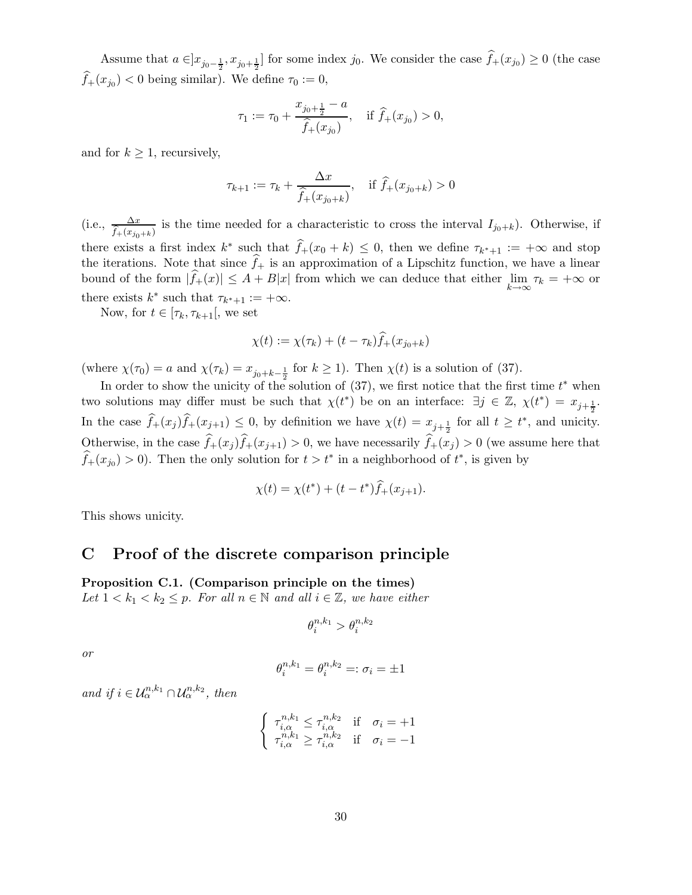Assume that  $a \in ]x_{j_0-\frac{1}{2}}, x_{j_0+\frac{1}{2}}]$  for some index  $j_0$ . We consider the case  $f_+(x_{j_0}) \ge 0$  (the case  $f_+(x_{j_0}) < 0$  being similar). We define  $\tau_0 := 0$ ,

$$
\tau_1 := \tau_0 + \frac{x_{j_0 + \frac{1}{2}} - a}{\widehat{f}_+(x_{j_0})}, \quad \text{if } \widehat{f}_+(x_{j_0}) > 0,
$$

and for  $k \geq 1$ , recursively,

$$
\tau_{k+1} := \tau_k + \frac{\Delta x}{\hat{f}_+(x_{j_0+k})}, \quad \text{if } \hat{f}_+(x_{j_0+k}) > 0
$$

(i.e.,  $\frac{\Delta x}{\hat{f}_+(x_{j_0+k})}$  is the time needed for a characteristic to cross the interval  $I_{j_0+k}$ ). Otherwise, if there exists a first index  $k^*$  such that  $\hat{f}_+(x_0 + k) \leq 0$ , then we define  $\tau_{k^*+1} := +\infty$  and stop the iterations. Note that since  $f_{+}$  is an approximation of a Lipschitz function, we have a linear bound of the form  $|f_+(x)| \leq A + B|x|$  from which we can deduce that either  $\lim_{k \to \infty} \tau_k = +\infty$  or there exists  $k^*$  such that  $\tau_{k^*+1} := +\infty$ .

Now, for  $t \in [\tau_k, \tau_{k+1}],$  we set

$$
\chi(t) := \chi(\tau_k) + (t - \tau_k)\hat{f}_+(x_{j_0+k})
$$

(where  $\chi(\tau_0) = a$  and  $\chi(\tau_k) = x_{j_0+k-\frac{1}{2}}$  for  $k \ge 1$ ). Then  $\chi(t)$  is a solution of (37).

In order to show the unicity of the solution of  $(37)$ , we first notice that the first time  $t^*$  when two solutions may differ must be such that  $\chi(t^*)$  be on an interface:  $\exists j \in \mathbb{Z}, \chi(t^*) = x_{j+\frac{1}{2}}$ . 2 In the case  $\hat{f}_+(x_j)\hat{f}_+(x_{j+1}) \leq 0$ , by definition we have  $\chi(t) = x_{j+\frac{1}{2}}$  for all  $t \geq t^*$ , and unicity. Otherwise, in the case  $\hat{f}_+(x_i)\hat{f}_+(x_{i+1}) > 0$ , we have necessarily  $\hat{f}_+(x_i) > 0$  (we assume here that  $\widehat{f}_+(x_{j_0}) > 0$ . Then the only solution for  $t > t^*$  in a neighborhood of  $t^*$ , is given by

$$
\chi(t) = \chi(t^*) + (t - t^*)\widehat{f}_+(x_{j+1}).
$$

This shows unicity.

# C Proof of the discrete comparison principle

Proposition C.1. (Comparison principle on the times) Let  $1 < k_1 < k_2 \leq p$ . For all  $n \in \mathbb{N}$  and all  $i \in \mathbb{Z}$ , we have either

$$
\theta_i^{n,k_1} > \theta_i^{n,k_2}
$$

or

$$
\theta_i^{n,k_1} = \theta_i^{n,k_2} =: \sigma_i = \pm 1
$$

and if  $i \in \mathcal{U}_{\alpha}^{n,k_1} \cap \mathcal{U}_{\alpha}^{n,k_2}$ , then

$$
\begin{cases} \tau_{i,\alpha}^{n,k_1} \leq \tau_{i,\alpha}^{n,k_2} & \text{if } \sigma_i = +1\\ \tau_{i,\alpha}^{n,k_1} \geq \tau_{i,\alpha}^{n,k_2} & \text{if } \sigma_i = -1 \end{cases}
$$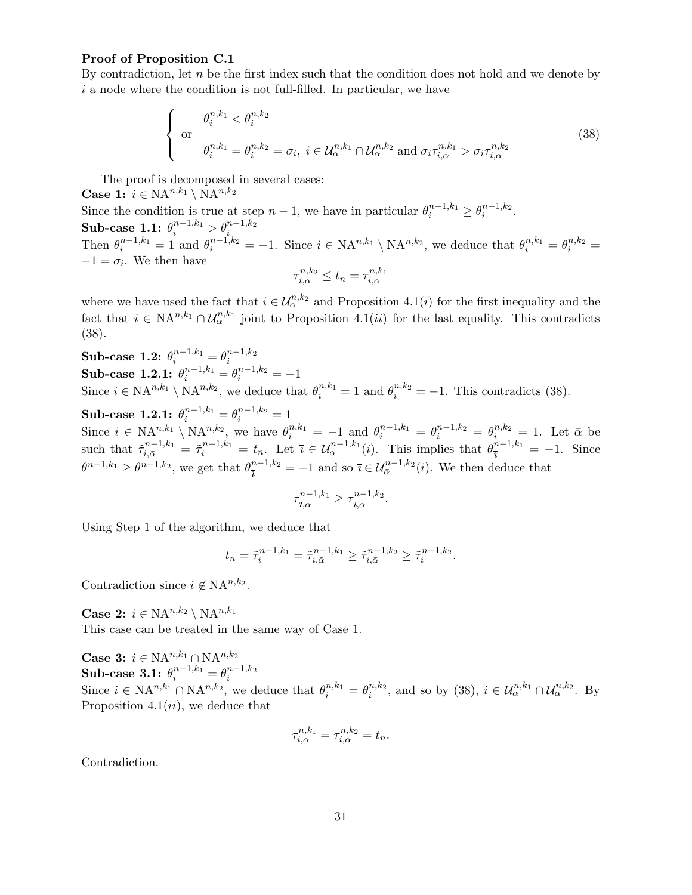#### Proof of Proposition C.1

By contradiction, let  $n$  be the first index such that the condition does not hold and we denote by  $i$  a node where the condition is not full-filled. In particular, we have

$$
\begin{cases}\n\theta_i^{n,k_1} < \theta_i^{n,k_2} \\
\text{or} \\
\theta_i^{n,k_1} = \theta_i^{n,k_2} = \sigma_i, \ i \in \mathcal{U}_{\alpha}^{n,k_1} \cap \mathcal{U}_{\alpha}^{n,k_2} \text{ and } \sigma_i \tau_{i,\alpha}^{n,k_1} > \sigma_i \tau_{i,\alpha}^{n,k_2}\n\end{cases} \tag{38}
$$

The proof is decomposed in several cases:

**Case 1:**  $i \in \mathrm{NA}^{n,k_1} \setminus \mathrm{NA}^{n,k_2}$ 

Since the condition is true at step  $n-1$ , we have in particular  $\theta_i^{n-1,k_1} \geq \theta_i^{n-1,k_2}$  $\frac{n-1,\kappa_2}{i}$ .  $\textbf{Sub-case 1.1: } \theta_i^{n-1,k_1} > \theta_i^{n-1,k_2}$ Then  $\theta_i^{n-1,k_1} = 1$  and  $\theta_i^{n-1,k_2} = -1$ . Since  $i \in \text{NA}^{n,k_1} \setminus \text{NA}^{n,k_2}$ , we deduce that  $\theta_i^{n,k_1} = \theta_i^{n,k_2} =$ 

 $-1 = \sigma_i$ . We then have  $_{n,k_2}$  $_{n,k_1}$ 

$$
\tau_{i,\alpha}^{n,k_2} \le t_n = \tau_{i,\alpha}^{n,k_1}
$$

where we have used the fact that  $i \in \mathcal{U}_{\alpha}^{n,k_2}$  and Proposition 4.1(*i*) for the first inequality and the fact that  $i \in \text{NA}^{n,k_1} \cap \mathcal{U}_\alpha^{n,k_1}$  joint to Proposition 4.1(*ii*) for the last equality. This contradicts (38).

Sub-case 1.2: 
$$
\theta_i^{n-1,k_1} = \theta_i^{n-1,k_2}
$$
\nSub-case 1.2.1:  $\theta_i^{n-1,k_1} = \theta_i^{n-1,k_2} = -1$ \nSince  $i \in \mathbb{N}A^{n,k_1} \setminus \mathbb{N}A^{n,k_2}$ , we deduce that  $\theta_i^{n,k_1} = 1$  and  $\theta_i^{n,k_2} = -1$ . This contradicts (38).

 $\textbf{Sub-case 1.2.1:} \,\, \theta_i^{n-1,k_1} = \theta_i^{n-1,k_2} = 1$ Since  $i \in \mathrm{NA}^{n,k_1} \setminus \mathrm{NA}^{n,k_2}$ , we have  $\theta_i^{n,k_1} = -1$  and  $\theta_i^{n-1,k_1} = \theta_i^{n-1,k_2} = \theta_i^{n,k_2} = 1$ . Let  $\bar{\alpha}$  be such that  $\tilde{\tau}_{i,\bar{\alpha}}^{n-1,k_1} = \tilde{\tau}_i^{n-1,k_1} = t_n$ . Let  $\bar{\imath} \in \mathcal{U}_{\bar{\alpha}}^{n-1,k_1}(i)$ . This implies that  $\theta_{\bar{\imath}}^{n-1,k_1} = -1$ . Since  $\theta^{n-1,k_1} \geq \theta^{n-1,k_2}$ , we get that  $\theta_{\overline{\theta}}^{n-1,k_2} = -1$  and so  $\overline{\imath} \in \mathcal{U}_{\overline{\alpha}}^{n-1,k_2}(i)$ . We then deduce that

$$
\tau^{n-1,k_1}_{\overline{\imath},\bar{\alpha}}\geq \tau^{n-1,k_2}_{\overline{\imath},\bar{\alpha}}.
$$

Using Step 1 of the algorithm, we deduce that

$$
t_n = \tilde{\tau}_i^{n-1,k_1} = \tilde{\tau}_{i,\bar{\alpha}}^{n-1,k_1} \ge \tilde{\tau}_{i,\bar{\alpha}}^{n-1,k_2} \ge \tilde{\tau}_i^{n-1,k_2}.
$$

Contradiction since  $i \notin \mathrm{NA}^{n,k_2}$ .

**Case 2:**  $i \in \mathrm{NA}^{n,k_2} \setminus \mathrm{NA}^{n,k_1}$ This case can be treated in the same way of Case 1.

**Case 3:**  $i \in \mathrm{NA}^{n,k_1} \cap \mathrm{NA}^{n,k_2}$  $\textbf{Sub-case 3.1:} \ \theta_i^{n-1,k_1} = \theta_i^{n-1,k_2}$ i Since  $i \in \mathrm{NA}^{n,k_1} \cap \mathrm{NA}^{n,k_2}$ , we deduce that  $\theta_i^{n,k_1} = \theta_i^{n,k_2}$  $i^{n,k_2}$ , and so by (38),  $i \in \mathcal{U}_{\alpha}^{n,k_1} \cap \mathcal{U}_{\alpha}^{n,k_2}$ . By Proposition 4.1 $(ii)$ , we deduce that

$$
\tau_{i,\alpha}^{n,k_1} = \tau_{i,\alpha}^{n,k_2} = t_n.
$$

Contradiction.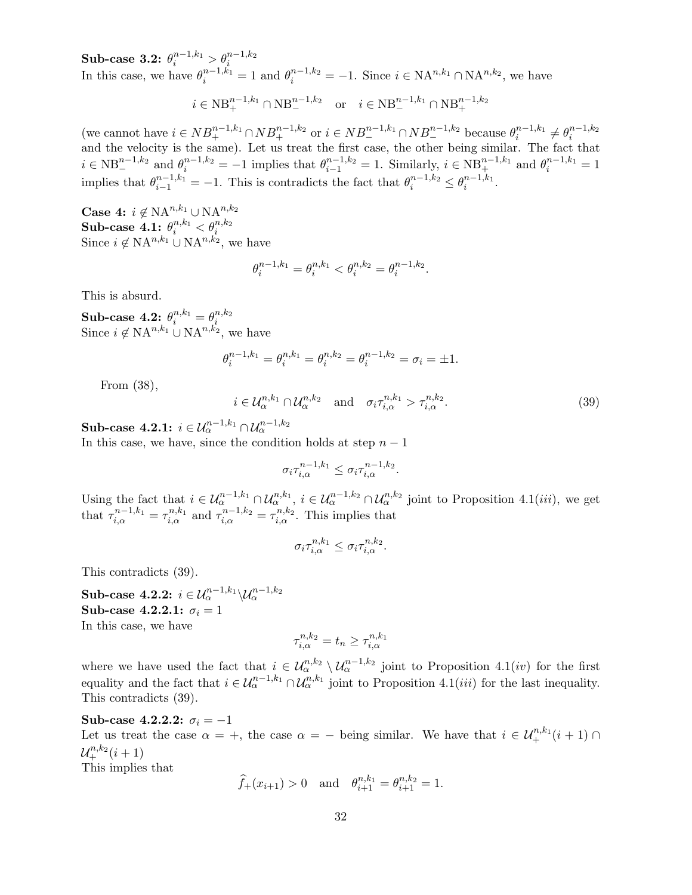$\textbf{Sub-case 3.2:} \,\, \theta_i^{n-1,k_1} > \theta_i^{n-1,k_2}$ In this case, we have  $\theta_i^{n-1,k_1} = 1$  and  $\theta_i^{n-1,k_2} = -1$ . Since  $i \in \mathrm{NA}^{n,k_1} \cap \mathrm{NA}^{n,k_2}$ , we have

 $i \in \text{NB}^{n-1,k_1}_{+} \cap \text{NB}^{n-1,k_2}_{-} \quad \text{or} \quad i \in \text{NB}^{n-1,k_1}_{-} \cap \text{NB}^{n-1,k_2}_{+}$ 

(we cannot have  $i \in NB^{n-1,k_1}_{+} \cap NB^{n-1,k_2}_{+}$  or  $i \in NB^{n-1,k_1}_{-} \cap NB^{n-1,k_2}_{-}$  because  $\theta_i^{n-1,k_1}$  $e_i^{n-1,k_1} \neq \theta_i^{n-1,k_2}$ i and the velocity is the same). Let us treat the first case, the other being similar. The fact that  $i \in NB_{-}^{n-1,k_2}$  and  $\theta_i^{n-1,k_2} = -1$  implies that  $\theta_{i-1}^{n-1,k_2} = 1$ . Similarly,  $i \in NB_{+}^{n-1,k_1}$  and  $\theta_i^{n-1,k_1} = 1$ implies that  $\theta_{i-1}^{n-1,k_1} = -1$ . This is contradicts the fact that  $\theta_i^{n-1,k_2} \leq \theta_i^{n-1,k_1}$  $i^{\frac{n-1,\kappa_1}{n}}$ .

Case 4:  $i \notin \text{NA}^{n,k_1} \cup \text{NA}^{n,k_2}$  $\textbf{Sub-case 4.1: } \theta_i^{n,k_1}<\theta_i^{n,k_2}$ Since  $i \notin \mathrm{NA}^{n,k_1} \cup \mathrm{NA}^{n,k_2}$ , we have

$$
\theta_i^{n-1,k_1} = \theta_i^{n,k_1} < \theta_i^{n,k_2} = \theta_i^{n-1,k_2}.
$$

This is absurd.

 $\textbf{Sub-case 4.2: } \theta_i^{n,k_1} = \theta_i^{n,k_2}$ i Since  $i \notin \mathrm{NA}^{n,k_1} \cup \mathrm{NA}^{n,k_2}$ , we have

$$
\theta_i^{n-1,k_1} = \theta_i^{n,k_1} = \theta_i^{n,k_2} = \theta_i^{n-1,k_2} = \sigma_i = \pm 1.
$$

From (38),

$$
i \in \mathcal{U}_{\alpha}^{n,k_1} \cap \mathcal{U}_{\alpha}^{n,k_2} \quad \text{and} \quad \sigma_i \tau_{i,\alpha}^{n,k_1} > \tau_{i,\alpha}^{n,k_2}.
$$
 (39)

Sub-case 4.2.1:  $i \in \mathcal{U}_\alpha^{n-1,k_1} \cap \mathcal{U}_\alpha^{n-1,k_2}$ 

In this case, we have, since the condition holds at step  $n-1$ 

$$
\sigma_i \tau_{i,\alpha}^{n-1,k_1} \leq \sigma_i \tau_{i,\alpha}^{n-1,k_2}.
$$

Using the fact that  $i \in \mathcal{U}_{\alpha}^{n-1,k_1} \cap \mathcal{U}_{\alpha}^{n,k_1}, i \in \mathcal{U}_{\alpha}^{n-1,k_2} \cap \mathcal{U}_{\alpha}^{n,k_2}$  joint to Proposition 4.1(*iii*), we get that  $\tau_{i,\alpha}^{n-1,k_1} = \tau_{i,\alpha}^{n,k_1}$  and  $\tau_{i,\alpha}^{n-1,k_2} = \tau_{i,\alpha}^{n,k_2}$ . This implies that

$$
\sigma_i \tau_{i,\alpha}^{n,k_1} \leq \sigma_i \tau_{i,\alpha}^{n,k_2}.
$$

This contradicts (39).

 $\textbf{Sub-case 4.2.2: } i \in \mathcal{U}_\alpha^{n-1,k_1} \backslash \mathcal{U}_\alpha^{n-1,k_2}$ Sub-case 4.2.2.1:  $\sigma_i = 1$ In this case, we have

$$
\tau^{n,k_2}_{i,\alpha}=t_n\geq \tau^{n,k_1}_{i,\alpha}
$$

where we have used the fact that  $i \in \mathcal{U}_{\alpha}^{n,k_2} \setminus \mathcal{U}_{\alpha}^{n-1,k_2}$  joint to Proposition 4.1(*iv*) for the first equality and the fact that  $i \in \mathcal{U}_{\alpha}^{n-1,k_1} \cap \mathcal{U}_{\alpha}^{n,k_1}$  joint to Proposition 4.1(*iii*) for the last inequality. This contradicts (39).

Sub-case 4.2.2.2:  $\sigma_i = -1$ Let us treat the case  $\alpha = +$ , the case  $\alpha = -$  being similar. We have that  $i \in \mathcal{U}^{n,k_1}_{+}(i+1) \cap$  $\mathcal{U}^{n,k_2}_+(i+1)$ 

This implies that

$$
\widehat{f}_+(x_{i+1}) > 0
$$
 and  $\theta_{i+1}^{n,k_1} = \theta_{i+1}^{n,k_2} = 1$ .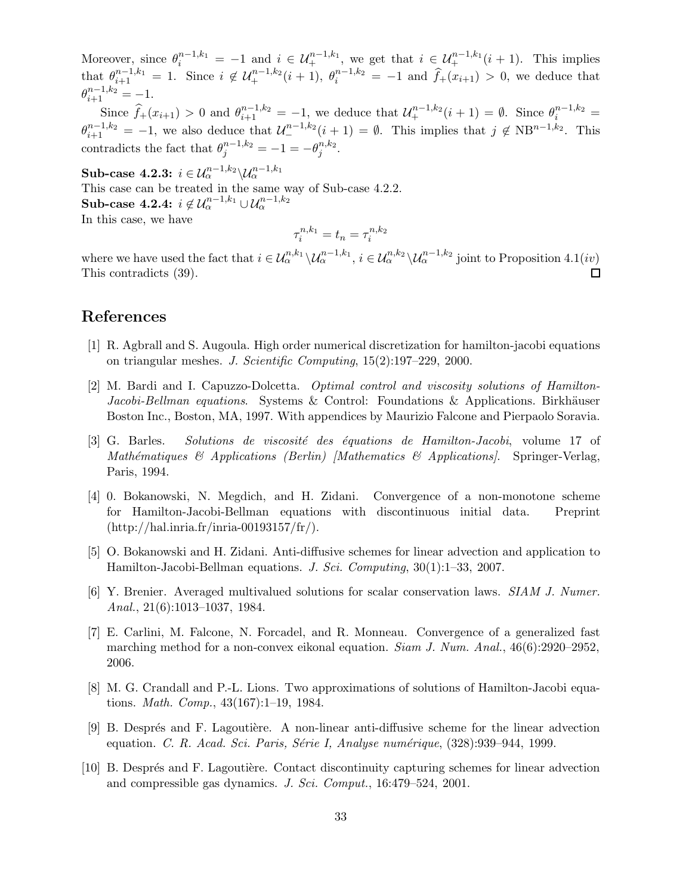Moreover, since  $\theta_i^{n-1,k_1} = -1$  and  $i \in \mathcal{U}_+^{n-1,k_1}$ , we get that  $i \in \mathcal{U}_+^{n-1,k_1}(i+1)$ . This implies that  $\theta_{i+1}^{n-1,k_1} = 1$ . Since  $i \notin \mathcal{U}_+^{n-1,k_2}(i+1)$ ,  $\theta_i^{n-1,k_2} = -1$  and  $\widehat{f}_+(x_{i+1}) > 0$ , we deduce that  $\theta_{i+1}^{n-1,k_2} = -1.$ 

Since  $\hat{f}_+(x_{i+1}) > 0$  and  $\theta_{i+1}^{n-1,k_2} = -1$ , we deduce that  $\mathcal{U}_+^{n-1,k_2}(i+1) = \emptyset$ . Since  $\theta_i^{n-1,k_2} =$  $\theta_{i+1}^{n-1,k_2} = -1$ , we also deduce that  $\mathcal{U}_{-}^{n-1,k_2}(i+1) = \emptyset$ . This implies that  $j \notin NB^{n-1,k_2}$ . This contradicts the fact that  $\theta_j^{n-1,k_2} = -1 = -\theta_j^{n,k_2}$  $_i^{n,\kappa_2}.$ 

 $\textbf{Sub-case 4.2.3:}\,\, i \in \mathcal{U}^{n-1,k_2}_{\alpha}\backslash \mathcal{U}^{n-1,k_1}_{\alpha}$ This case can be treated in the same way of Sub-case 4.2.2. Sub-case 4.2.4:  $i \notin \mathcal{U}_\alpha^{n-1,k_1} \cup \mathcal{U}_\alpha^{n-1,k_2}$ In this case, we have

$$
\tau_i^{n,k_1} = t_n = \tau_i^{n,k_2}
$$

where we have used the fact that  $i \in \mathcal{U}_{\alpha}^{n,k_1} \setminus \mathcal{U}_{\alpha}^{n-1,k_1}$ ,  $i \in \mathcal{U}_{\alpha}^{n,k_2} \setminus \mathcal{U}_{\alpha}^{n-1,k_2}$  joint to Proposition 4.1(*iv*) This contradicts (39).  $\Box$ 

# References

- [1] R. Agbrall and S. Augoula. High order numerical discretization for hamilton-jacobi equations on triangular meshes. J. Scientific Computing, 15(2):197–229, 2000.
- [2] M. Bardi and I. Capuzzo-Dolcetta. Optimal control and viscosity solutions of Hamilton-Jacobi-Bellman equations. Systems & Control: Foundations & Applications. Birkhäuser Boston Inc., Boston, MA, 1997. With appendices by Maurizio Falcone and Pierpaolo Soravia.
- [3] G. Barles. Solutions de viscosité des équations de Hamilton-Jacobi, volume 17 of Mathématiques  $\mathcal{B}$  Applications (Berlin) [Mathematics  $\mathcal{B}$  Applications]. Springer-Verlag, Paris, 1994.
- [4] 0. Bokanowski, N. Megdich, and H. Zidani. Convergence of a non-monotone scheme for Hamilton-Jacobi-Bellman equations with discontinuous initial data. Preprint  $(\text{http://hal.inria.fr/inria-00193157/fr/}).$
- [5] O. Bokanowski and H. Zidani. Anti-diffusive schemes for linear advection and application to Hamilton-Jacobi-Bellman equations. J. Sci. Computing, 30(1):1–33, 2007.
- [6] Y. Brenier. Averaged multivalued solutions for scalar conservation laws. SIAM J. Numer. Anal., 21(6):1013–1037, 1984.
- [7] E. Carlini, M. Falcone, N. Forcadel, and R. Monneau. Convergence of a generalized fast marching method for a non-convex eikonal equation. Siam J. Num. Anal., 46(6):2920–2952, 2006.
- [8] M. G. Crandall and P.-L. Lions. Two approximations of solutions of Hamilton-Jacobi equations. Math. Comp., 43(167):1–19, 1984.
- [9] B. Després and F. Lagoutière. A non-linear anti-diffusive scheme for the linear advection equation. C. R. Acad. Sci. Paris, Série I, Analyse numérique,  $(328):939-944, 1999$ .
- [10] B. Després and F. Lagoutière. Contact discontinuity capturing schemes for linear advection and compressible gas dynamics. J. Sci. Comput., 16:479–524, 2001.